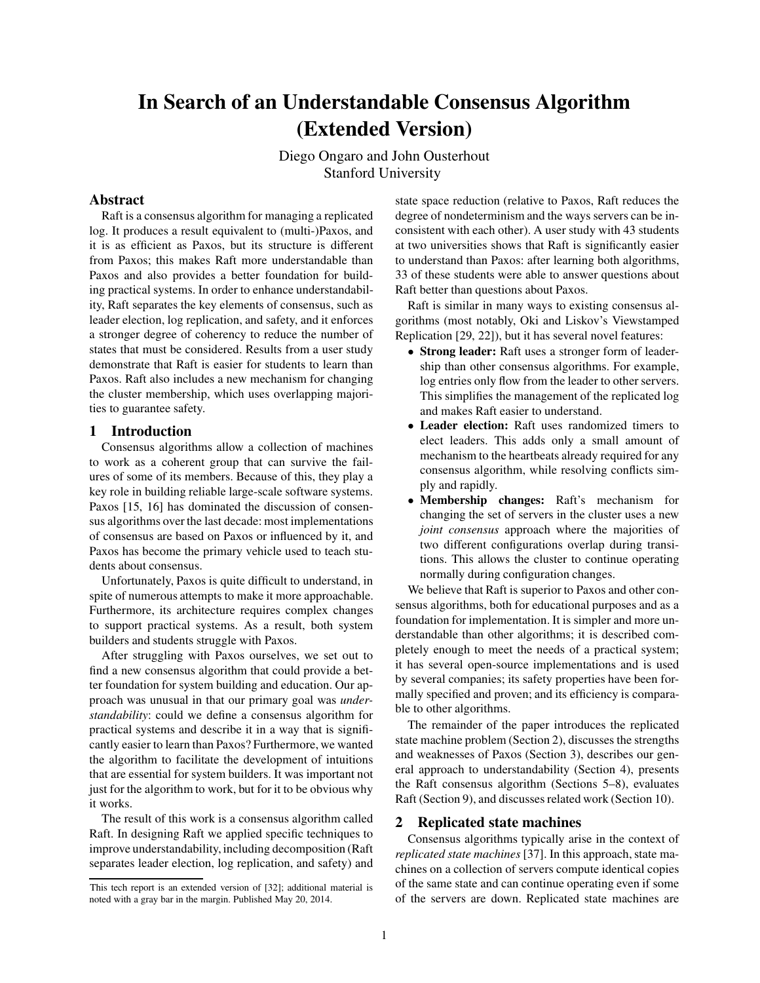# In Search of an Understandable Consensus Algorithm (Extended Version)

Diego Ongaro and John Ousterhout Stanford University

# Abstract

Raft is a consensus algorithm for managing a replicated log. It produces a result equivalent to (multi-)Paxos, and it is as efficient as Paxos, but its structure is different from Paxos; this makes Raft more understandable than Paxos and also provides a better foundation for building practical systems. In order to enhance understandability, Raft separates the key elements of consensus, such as leader election, log replication, and safety, and it enforces a stronger degree of coherency to reduce the number of states that must be considered. Results from a user study demonstrate that Raft is easier for students to learn than Paxos. Raft also includes a new mechanism for changing the cluster membership, which uses overlapping majorities to guarantee safety.

# 1 Introduction

Consensus algorithms allow a collection of machines to work as a coherent group that can survive the failures of some of its members. Because of this, they play a key role in building reliable large-scale software systems. Paxos [15, 16] has dominated the discussion of consensus algorithms over the last decade: most implementations of consensus are based on Paxos or influenced by it, and Paxos has become the primary vehicle used to teach students about consensus.

Unfortunately, Paxos is quite difficult to understand, in spite of numerous attempts to make it more approachable. Furthermore, its architecture requires complex changes to support practical systems. As a result, both system builders and students struggle with Paxos.

After struggling with Paxos ourselves, we set out to find a new consensus algorithm that could provide a better foundation for system building and education. Our approach was unusual in that our primary goal was *understandability*: could we define a consensus algorithm for practical systems and describe it in a way that is significantly easier to learn than Paxos? Furthermore, we wanted the algorithm to facilitate the development of intuitions that are essential for system builders. It was important not just for the algorithm to work, but for it to be obvious why it works.

The result of this work is a consensus algorithm called Raft. In designing Raft we applied specific techniques to improve understandability, including decomposition (Raft separates leader election, log replication, and safety) and state space reduction (relative to Paxos, Raft reduces the degree of nondeterminism and the ways servers can be inconsistent with each other). A user study with 43 students at two universities shows that Raft is significantly easier to understand than Paxos: after learning both algorithms, 33 of these students were able to answer questions about Raft better than questions about Paxos.

Raft is similar in many ways to existing consensus algorithms (most notably, Oki and Liskov's Viewstamped Replication [29, 22]), but it has several novel features:

- Strong leader: Raft uses a stronger form of leadership than other consensus algorithms. For example, log entries only flow from the leader to other servers. This simplifies the management of the replicated log and makes Raft easier to understand.
- Leader election: Raft uses randomized timers to elect leaders. This adds only a small amount of mechanism to the heartbeats already required for any consensus algorithm, while resolving conflicts simply and rapidly.
- Membership changes: Raft's mechanism for changing the set of servers in the cluster uses a new *joint consensus* approach where the majorities of two different configurations overlap during transitions. This allows the cluster to continue operating normally during configuration changes.

We believe that Raft is superior to Paxos and other consensus algorithms, both for educational purposes and as a foundation for implementation. It is simpler and more understandable than other algorithms; it is described completely enough to meet the needs of a practical system; it has several open-source implementations and is used by several companies; its safety properties have been formally specified and proven; and its efficiency is comparable to other algorithms.

The remainder of the paper introduces the replicated state machine problem (Section 2), discusses the strengths and weaknesses of Paxos (Section 3), describes our general approach to understandability (Section 4), presents the Raft consensus algorithm (Sections 5–8), evaluates Raft (Section 9), and discusses related work (Section 10).

# 2 Replicated state machines

Consensus algorithms typically arise in the context of *replicated state machines* [37]. In this approach, state machines on a collection of servers compute identical copies of the same state and can continue operating even if some of the servers are down. Replicated state machines are

This tech report is an extended version of [32]; additional material is noted with a gray bar in the margin. Published May 20, 2014.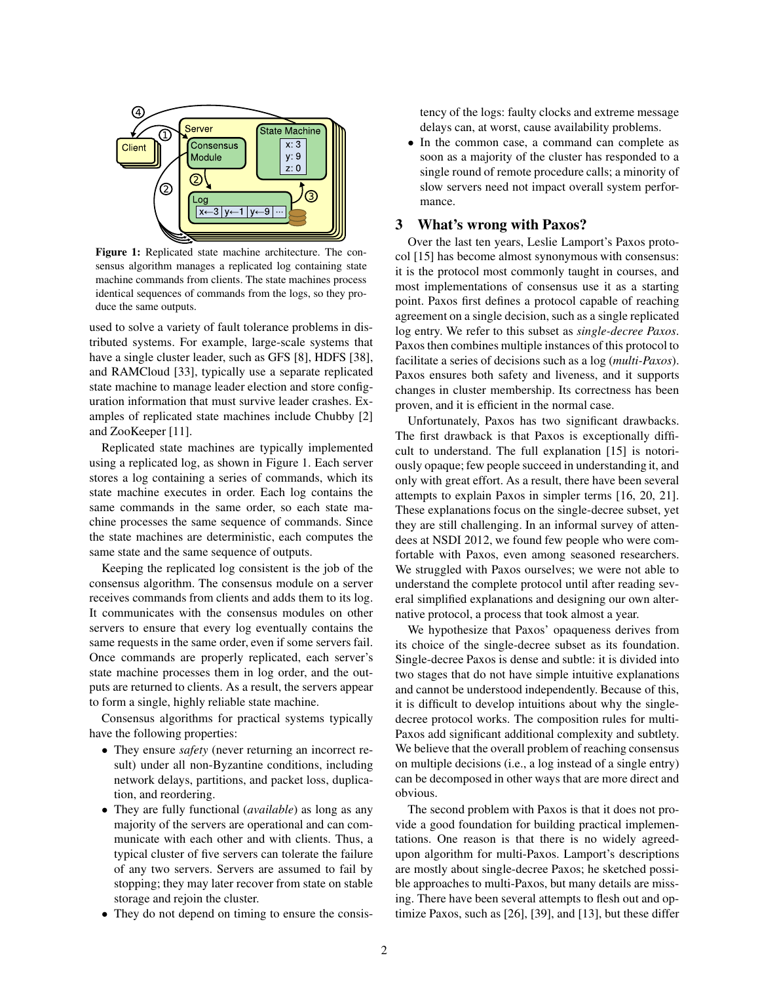

Figure 1: Replicated state machine architecture. The consensus algorithm manages a replicated log containing state machine commands from clients. The state machines process identical sequences of commands from the logs, so they produce the same outputs.

used to solve a variety of fault tolerance problems in distributed systems. For example, large-scale systems that have a single cluster leader, such as GFS [8], HDFS [38], and RAMCloud [33], typically use a separate replicated state machine to manage leader election and store configuration information that must survive leader crashes. Examples of replicated state machines include Chubby [2] and ZooKeeper [11].

Replicated state machines are typically implemented using a replicated log, as shown in Figure 1. Each server stores a log containing a series of commands, which its state machine executes in order. Each log contains the same commands in the same order, so each state machine processes the same sequence of commands. Since the state machines are deterministic, each computes the same state and the same sequence of outputs.

Keeping the replicated log consistent is the job of the consensus algorithm. The consensus module on a server receives commands from clients and adds them to its log. It communicates with the consensus modules on other servers to ensure that every log eventually contains the same requests in the same order, even if some servers fail. Once commands are properly replicated, each server's state machine processes them in log order, and the outputs are returned to clients. As a result, the servers appear to form a single, highly reliable state machine.

Consensus algorithms for practical systems typically have the following properties:

- They ensure *safety* (never returning an incorrect result) under all non-Byzantine conditions, including network delays, partitions, and packet loss, duplication, and reordering.
- They are fully functional (*available*) as long as any majority of the servers are operational and can communicate with each other and with clients. Thus, a typical cluster of five servers can tolerate the failure of any two servers. Servers are assumed to fail by stopping; they may later recover from state on stable storage and rejoin the cluster.
- They do not depend on timing to ensure the consis-

tency of the logs: faulty clocks and extreme message delays can, at worst, cause availability problems.

• In the common case, a command can complete as soon as a majority of the cluster has responded to a single round of remote procedure calls; a minority of slow servers need not impact overall system performance.

### 3 What's wrong with Paxos?

Over the last ten years, Leslie Lamport's Paxos protocol [15] has become almost synonymous with consensus: it is the protocol most commonly taught in courses, and most implementations of consensus use it as a starting point. Paxos first defines a protocol capable of reaching agreement on a single decision, such as a single replicated log entry. We refer to this subset as *single-decree Paxos*. Paxos then combines multiple instances of this protocol to facilitate a series of decisions such as a log (*multi-Paxos*). Paxos ensures both safety and liveness, and it supports changes in cluster membership. Its correctness has been proven, and it is efficient in the normal case.

Unfortunately, Paxos has two significant drawbacks. The first drawback is that Paxos is exceptionally difficult to understand. The full explanation [15] is notoriously opaque; few people succeed in understanding it, and only with great effort. As a result, there have been several attempts to explain Paxos in simpler terms [16, 20, 21]. These explanations focus on the single-decree subset, yet they are still challenging. In an informal survey of attendees at NSDI 2012, we found few people who were comfortable with Paxos, even among seasoned researchers. We struggled with Paxos ourselves; we were not able to understand the complete protocol until after reading several simplified explanations and designing our own alternative protocol, a process that took almost a year.

We hypothesize that Paxos' opaqueness derives from its choice of the single-decree subset as its foundation. Single-decree Paxos is dense and subtle: it is divided into two stages that do not have simple intuitive explanations and cannot be understood independently. Because of this, it is difficult to develop intuitions about why the singledecree protocol works. The composition rules for multi-Paxos add significant additional complexity and subtlety. We believe that the overall problem of reaching consensus on multiple decisions (i.e., a log instead of a single entry) can be decomposed in other ways that are more direct and obvious.

The second problem with Paxos is that it does not provide a good foundation for building practical implementations. One reason is that there is no widely agreedupon algorithm for multi-Paxos. Lamport's descriptions are mostly about single-decree Paxos; he sketched possible approaches to multi-Paxos, but many details are missing. There have been several attempts to flesh out and optimize Paxos, such as [26], [39], and [13], but these differ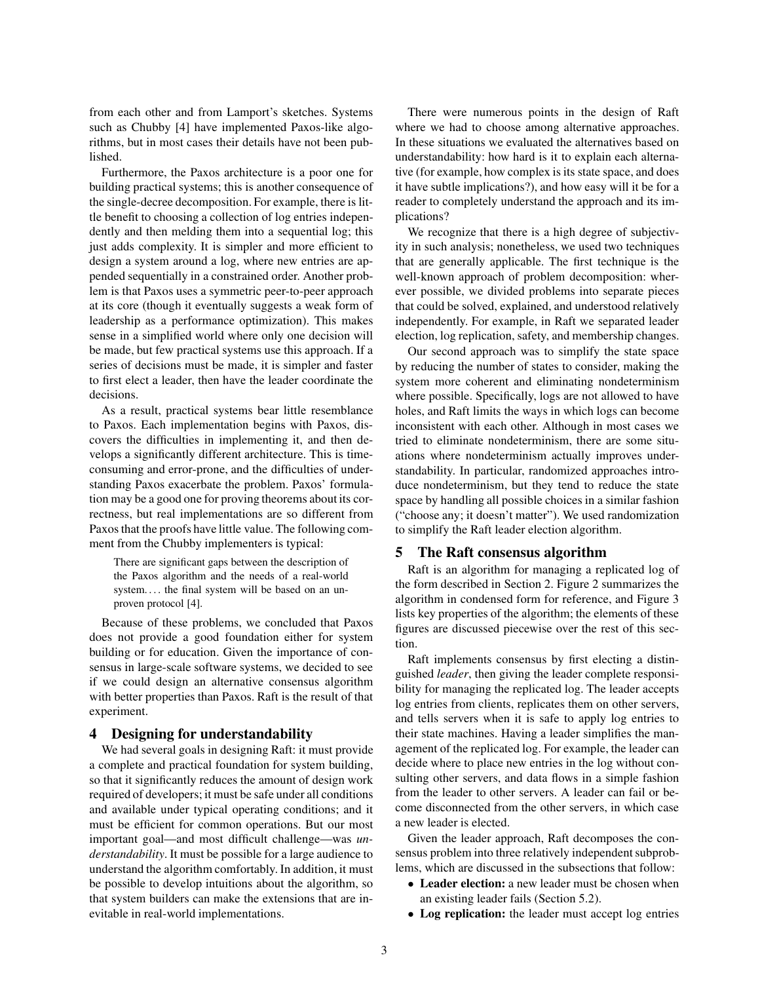from each other and from Lamport's sketches. Systems such as Chubby [4] have implemented Paxos-like algorithms, but in most cases their details have not been published.

Furthermore, the Paxos architecture is a poor one for building practical systems; this is another consequence of the single-decree decomposition. For example, there is little benefit to choosing a collection of log entries independently and then melding them into a sequential log; this just adds complexity. It is simpler and more efficient to design a system around a log, where new entries are appended sequentially in a constrained order. Another problem is that Paxos uses a symmetric peer-to-peer approach at its core (though it eventually suggests a weak form of leadership as a performance optimization). This makes sense in a simplified world where only one decision will be made, but few practical systems use this approach. If a series of decisions must be made, it is simpler and faster to first elect a leader, then have the leader coordinate the decisions.

As a result, practical systems bear little resemblance to Paxos. Each implementation begins with Paxos, discovers the difficulties in implementing it, and then develops a significantly different architecture. This is timeconsuming and error-prone, and the difficulties of understanding Paxos exacerbate the problem. Paxos' formulation may be a good one for proving theorems about its correctness, but real implementations are so different from Paxos that the proofs have little value. The following comment from the Chubby implementers is typical:

There are significant gaps between the description of the Paxos algorithm and the needs of a real-world system.... the final system will be based on an unproven protocol [4].

Because of these problems, we concluded that Paxos does not provide a good foundation either for system building or for education. Given the importance of consensus in large-scale software systems, we decided to see if we could design an alternative consensus algorithm with better properties than Paxos. Raft is the result of that experiment.

# 4 Designing for understandability

We had several goals in designing Raft: it must provide a complete and practical foundation for system building, so that it significantly reduces the amount of design work required of developers; it must be safe under all conditions and available under typical operating conditions; and it must be efficient for common operations. But our most important goal—and most difficult challenge—was *understandability*. It must be possible for a large audience to understand the algorithm comfortably. In addition, it must be possible to develop intuitions about the algorithm, so that system builders can make the extensions that are inevitable in real-world implementations.

There were numerous points in the design of Raft where we had to choose among alternative approaches. In these situations we evaluated the alternatives based on understandability: how hard is it to explain each alternative (for example, how complex is its state space, and does it have subtle implications?), and how easy will it be for a reader to completely understand the approach and its implications?

We recognize that there is a high degree of subjectivity in such analysis; nonetheless, we used two techniques that are generally applicable. The first technique is the well-known approach of problem decomposition: wherever possible, we divided problems into separate pieces that could be solved, explained, and understood relatively independently. For example, in Raft we separated leader election, log replication, safety, and membership changes.

Our second approach was to simplify the state space by reducing the number of states to consider, making the system more coherent and eliminating nondeterminism where possible. Specifically, logs are not allowed to have holes, and Raft limits the ways in which logs can become inconsistent with each other. Although in most cases we tried to eliminate nondeterminism, there are some situations where nondeterminism actually improves understandability. In particular, randomized approaches introduce nondeterminism, but they tend to reduce the state space by handling all possible choices in a similar fashion ("choose any; it doesn't matter"). We used randomization to simplify the Raft leader election algorithm.

#### 5 The Raft consensus algorithm

Raft is an algorithm for managing a replicated log of the form described in Section 2. Figure 2 summarizes the algorithm in condensed form for reference, and Figure 3 lists key properties of the algorithm; the elements of these figures are discussed piecewise over the rest of this section.

Raft implements consensus by first electing a distinguished *leader*, then giving the leader complete responsibility for managing the replicated log. The leader accepts log entries from clients, replicates them on other servers, and tells servers when it is safe to apply log entries to their state machines. Having a leader simplifies the management of the replicated log. For example, the leader can decide where to place new entries in the log without consulting other servers, and data flows in a simple fashion from the leader to other servers. A leader can fail or become disconnected from the other servers, in which case a new leader is elected.

Given the leader approach, Raft decomposes the consensus problem into three relatively independent subproblems, which are discussed in the subsections that follow:

- Leader election: a new leader must be chosen when an existing leader fails (Section 5.2).
- Log replication: the leader must accept log entries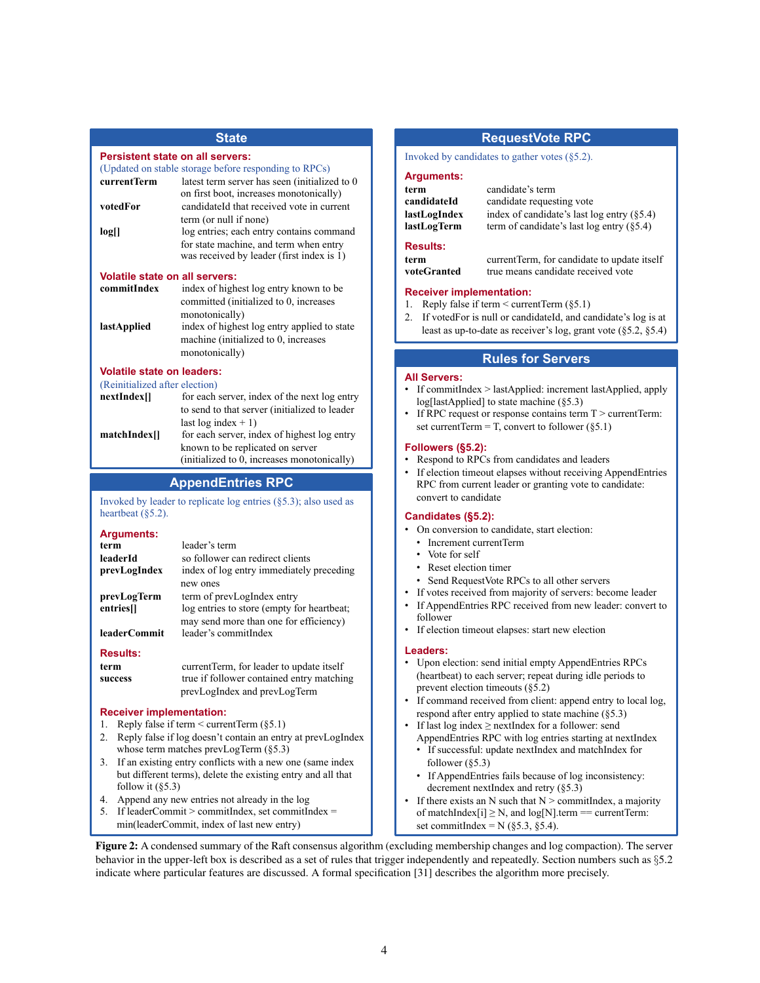# **State**

#### **Persistent state on all servers:**

(Updated on stable storage before responding to RPCs)

| currentTerm | latest term server has seen (initialized to 0) |  |
|-------------|------------------------------------------------|--|
|             | on first boot, increases monotonically)        |  |
| votedFor    | candidateId that received vote in current      |  |
|             | term (or null if none)                         |  |
| log[        | log entries; each entry contains command       |  |
|             | for state machine, and term when entry         |  |
|             | was received by leader (first index is 1)      |  |

#### **Volatile state on all servers:**

| commitIndex        | index of highest log entry known to be      |
|--------------------|---------------------------------------------|
|                    | committed (initialized to 0, increases      |
|                    | monotonically)                              |
| <i>lastApplied</i> | index of highest log entry applied to state |
|                    | machine (initialized to 0, increases        |
|                    | monotonically)                              |

#### **Volatile state on leaders:**

| (Reinitialized after election) |                                               |  |
|--------------------------------|-----------------------------------------------|--|
| nextIndex[]                    | for each server, index of the next log entry  |  |
|                                | to send to that server (initialized to leader |  |
|                                | last $log index + 1$                          |  |
| matchIndex[]                   | for each server, index of highest log entry   |  |
|                                | known to be replicated on server              |  |
|                                | (initialized to 0, increases monotonically)   |  |

# **AppendEntries RPC**

Invoked by leader to replicate log entries (§5.3); also used as heartbeat (§5.2).

**Arguments:**

| term                                 | leader's term                                                                |
|--------------------------------------|------------------------------------------------------------------------------|
| leaderId<br>prevLogIndex             | so follower can redirect clients<br>index of log entry immediately preceding |
|                                      | new ones                                                                     |
| prevLogTerm<br>entries <sup>[]</sup> | term of prevLogIndex entry<br>log entries to store (empty for heartbeat;     |
| <b>leaderCommit</b>                  | may send more than one for efficiency)<br>leader's commitIndex               |

#### **Results:**

| term    | current Term, for leader to update itself |
|---------|-------------------------------------------|
| success | true if follower contained entry matching |
|         | prevLogIndex and prevLogTerm              |

#### **Receiver implementation:**

- 1. Reply false if term  $\leq$  currentTerm (§5.1)
- 2. Reply false if log doesn't contain an entry at prevLogIndex whose term matches prevLogTerm (§5.3)
- 3. If an existing entry conflicts with a new one (same index but different terms), delete the existing entry and all that follow it  $(\S 5.3)$
- 4. Append any new entries not already in the log
- 5. If leaderCommit > commitIndex, set commitIndex =
- min(leaderCommit, index of last new entry)

# **RequestVote RPC**

Invoked by candidates to gather votes (§5.2).

#### **Arguments:**

| term                                                                                                                       | candidate's term                                                                  |
|----------------------------------------------------------------------------------------------------------------------------|-----------------------------------------------------------------------------------|
| candidateId                                                                                                                | candidate requesting vote                                                         |
| index of candidate's last log entry $(85.4)$<br>lastLogIndex<br>term of candidate's last log entry $(85.4)$<br>lastLogTerm |                                                                                   |
| <b>Results:</b>                                                                                                            |                                                                                   |
| term<br>voteGranted                                                                                                        | currentTerm, for candidate to update itself<br>true means candidate received vote |

# true means candidate received vote

- **Receiver implementation:** 1. Reply false if term < currentTerm (§5.1)
- 2. If votedFor is null or candidateId, and candidate's log is at least as up-to-date as receiver's log, grant vote (§5.2, §5.4)

# **Rules for Servers**

#### **All Servers:**

- If commitIndex > lastApplied: increment lastApplied, apply log[lastApplied] to state machine (§5.3)
- If RPC request or response contains term  $T >$  currentTerm: set currentTerm = T, convert to follower  $(85.1)$

#### **Followers (§5.2):**

• Respond to RPCs from candidates and leaders If election timeout elapses without receiving AppendEntries RPC from current leader or granting vote to candidate: convert to candidate

# **Candidates (§5.2):**

- On conversion to candidate, start election:
	- Increment currentTerm
	- Vote for self
	- Reset election timer
- Send RequestVote RPCs to all other servers
- If votes received from majority of servers: become leader
- If AppendEntries RPC received from new leader: convert to follower
- If election timeout elapses: start new election

# **Leaders:**

- Upon election: send initial empty AppendEntries RPCs (heartbeat) to each server; repeat during idle periods to prevent election timeouts (§5.2)
- If command received from client: append entry to local log, respond after entry applied to state machine (§5.3)
- If last log index  $\ge$  nextIndex for a follower: send AppendEntries RPC with log entries starting at nextIndex
	- If successful: update nextIndex and matchIndex for follower  $(\S 5.3)$
	- If AppendEntries fails because of log inconsistency: decrement nextIndex and retry (§5.3)
- If there exists an N such that  $N >$  commitIndex, a majority of matchIndex $[i] \geq N$ , and  $log[N]$ .term == currentTerm: set commitIndex =  $N$  (§5.3, §5.4).

Figure 2: A condensed summary of the Raft consensus algorithm (excluding membership changes and log compaction). The server behavior in the upper-left box is described as a set of rules that trigger independently and repeatedly. Section numbers such as §5.2 indicate where particular features are discussed. A formal specification [31] describes the algorithm more precisely.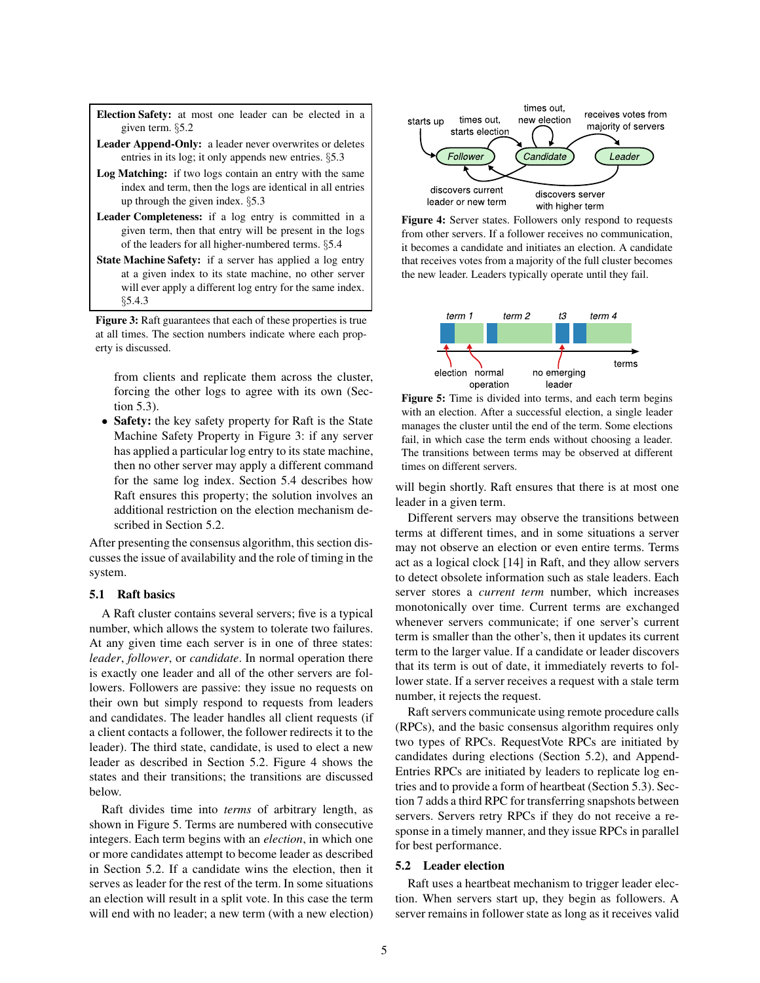Election Safety: at most one leader can be elected in a given term. §5.2

- Leader Append-Only: a leader never overwrites or deletes entries in its log; it only appends new entries. §5.3
- Log Matching: if two logs contain an entry with the same index and term, then the logs are identical in all entries up through the given index. §5.3
- Leader Completeness: if a log entry is committed in a given term, then that entry will be present in the logs of the leaders for all higher-numbered terms. §5.4
- State Machine Safety: if a server has applied a log entry at a given index to its state machine, no other server will ever apply a different log entry for the same index. §5.4.3

Figure 3: Raft guarantees that each of these properties is true at all times. The section numbers indicate where each property is discussed.

from clients and replicate them across the cluster, forcing the other logs to agree with its own (Section 5.3).

• Safety: the key safety property for Raft is the State Machine Safety Property in Figure 3: if any server has applied a particular log entry to its state machine, then no other server may apply a different command for the same log index. Section 5.4 describes how Raft ensures this property; the solution involves an additional restriction on the election mechanism described in Section 5.2.

After presenting the consensus algorithm, this section discusses the issue of availability and the role of timing in the system.

### 5.1 Raft basics

A Raft cluster contains several servers; five is a typical number, which allows the system to tolerate two failures. At any given time each server is in one of three states: *leader*, *follower*, or *candidate*. In normal operation there is exactly one leader and all of the other servers are followers. Followers are passive: they issue no requests on their own but simply respond to requests from leaders and candidates. The leader handles all client requests (if a client contacts a follower, the follower redirects it to the leader). The third state, candidate, is used to elect a new leader as described in Section 5.2. Figure 4 shows the states and their transitions; the transitions are discussed below.

Raft divides time into *terms* of arbitrary length, as shown in Figure 5. Terms are numbered with consecutive integers. Each term begins with an *election*, in which one or more candidates attempt to become leader as described in Section 5.2. If a candidate wins the election, then it serves as leader for the rest of the term. In some situations an election will result in a split vote. In this case the term will end with no leader; a new term (with a new election)



Figure 4: Server states. Followers only respond to requests from other servers. If a follower receives no communication, it becomes a candidate and initiates an election. A candidate that receives votes from a majority of the full cluster becomes the new leader. Leaders typically operate until they fail.





will begin shortly. Raft ensures that there is at most one leader in a given term.

Different servers may observe the transitions between terms at different times, and in some situations a server may not observe an election or even entire terms. Terms act as a logical clock [14] in Raft, and they allow servers to detect obsolete information such as stale leaders. Each server stores a *current term* number, which increases monotonically over time. Current terms are exchanged whenever servers communicate; if one server's current term is smaller than the other's, then it updates its current term to the larger value. If a candidate or leader discovers that its term is out of date, it immediately reverts to follower state. If a server receives a request with a stale term number, it rejects the request.

Raft servers communicate using remote procedure calls (RPCs), and the basic consensus algorithm requires only two types of RPCs. RequestVote RPCs are initiated by candidates during elections (Section 5.2), and Append-Entries RPCs are initiated by leaders to replicate log entries and to provide a form of heartbeat (Section 5.3). Section 7 adds a third RPC for transferring snapshots between servers. Servers retry RPCs if they do not receive a response in a timely manner, and they issue RPCs in parallel for best performance.

#### 5.2 Leader election

Raft uses a heartbeat mechanism to trigger leader election. When servers start up, they begin as followers. A server remains in follower state as long as it receives valid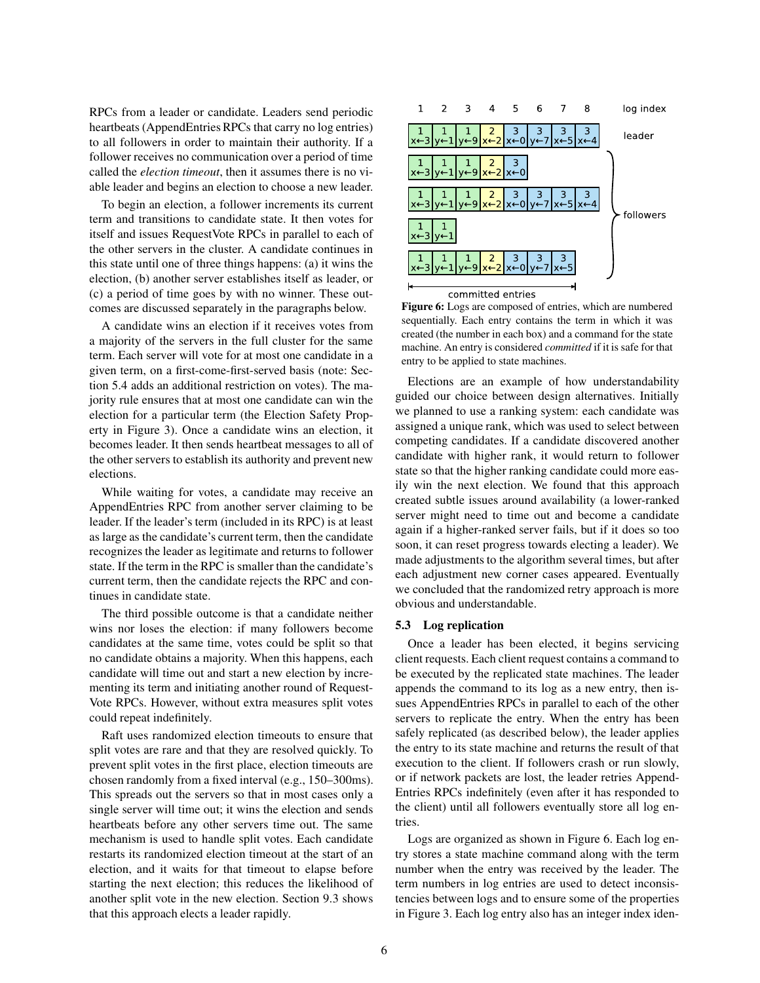RPCs from a leader or candidate. Leaders send periodic heartbeats (AppendEntries RPCs that carry no log entries) to all followers in order to maintain their authority. If a follower receives no communication over a period of time called the *election timeout*, then it assumes there is no viable leader and begins an election to choose a new leader.

To begin an election, a follower increments its current term and transitions to candidate state. It then votes for itself and issues RequestVote RPCs in parallel to each of the other servers in the cluster. A candidate continues in this state until one of three things happens: (a) it wins the election, (b) another server establishes itself as leader, or (c) a period of time goes by with no winner. These outcomes are discussed separately in the paragraphs below.

A candidate wins an election if it receives votes from a majority of the servers in the full cluster for the same term. Each server will vote for at most one candidate in a given term, on a first-come-first-served basis (note: Section 5.4 adds an additional restriction on votes). The majority rule ensures that at most one candidate can win the election for a particular term (the Election Safety Property in Figure 3). Once a candidate wins an election, it becomes leader. It then sends heartbeat messages to all of the other servers to establish its authority and prevent new elections.

While waiting for votes, a candidate may receive an AppendEntries RPC from another server claiming to be leader. If the leader's term (included in its RPC) is at least as large as the candidate's current term, then the candidate recognizes the leader as legitimate and returns to follower state. If the term in the RPC is smaller than the candidate's current term, then the candidate rejects the RPC and continues in candidate state.

The third possible outcome is that a candidate neither wins nor loses the election: if many followers become candidates at the same time, votes could be split so that no candidate obtains a majority. When this happens, each candidate will time out and start a new election by incrementing its term and initiating another round of Request-Vote RPCs. However, without extra measures split votes could repeat indefinitely.

Raft uses randomized election timeouts to ensure that split votes are rare and that they are resolved quickly. To prevent split votes in the first place, election timeouts are chosen randomly from a fixed interval (e.g., 150–300ms). This spreads out the servers so that in most cases only a single server will time out; it wins the election and sends heartbeats before any other servers time out. The same mechanism is used to handle split votes. Each candidate restarts its randomized election timeout at the start of an election, and it waits for that timeout to elapse before starting the next election; this reduces the likelihood of another split vote in the new election. Section 9.3 shows that this approach elects a leader rapidly.



Figure 6: Logs are composed of entries, which are numbered sequentially. Each entry contains the term in which it was created (the number in each box) and a command for the state machine. An entry is considered *committed* if it is safe for that entry to be applied to state machines.

Elections are an example of how understandability guided our choice between design alternatives. Initially we planned to use a ranking system: each candidate was assigned a unique rank, which was used to select between competing candidates. If a candidate discovered another candidate with higher rank, it would return to follower state so that the higher ranking candidate could more easily win the next election. We found that this approach created subtle issues around availability (a lower-ranked server might need to time out and become a candidate again if a higher-ranked server fails, but if it does so too soon, it can reset progress towards electing a leader). We made adjustments to the algorithm several times, but after each adjustment new corner cases appeared. Eventually we concluded that the randomized retry approach is more obvious and understandable.

#### 5.3 Log replication

Once a leader has been elected, it begins servicing client requests. Each client request contains a command to be executed by the replicated state machines. The leader appends the command to its log as a new entry, then issues AppendEntries RPCs in parallel to each of the other servers to replicate the entry. When the entry has been safely replicated (as described below), the leader applies the entry to its state machine and returns the result of that execution to the client. If followers crash or run slowly, or if network packets are lost, the leader retries Append-Entries RPCs indefinitely (even after it has responded to the client) until all followers eventually store all log entries.

Logs are organized as shown in Figure 6. Each log entry stores a state machine command along with the term number when the entry was received by the leader. The term numbers in log entries are used to detect inconsistencies between logs and to ensure some of the properties in Figure 3. Each log entry also has an integer index iden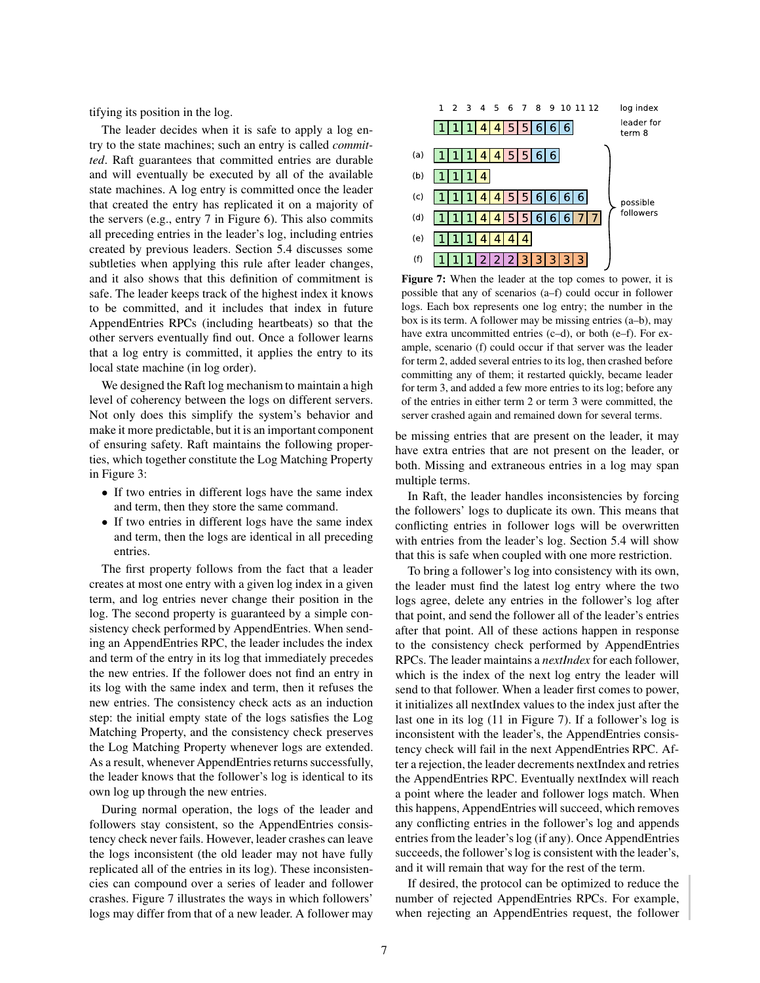tifying its position in the log.

The leader decides when it is safe to apply a log entry to the state machines; such an entry is called *committed*. Raft guarantees that committed entries are durable and will eventually be executed by all of the available state machines. A log entry is committed once the leader that created the entry has replicated it on a majority of the servers (e.g., entry 7 in Figure 6). This also commits all preceding entries in the leader's log, including entries created by previous leaders. Section 5.4 discusses some subtleties when applying this rule after leader changes, and it also shows that this definition of commitment is safe. The leader keeps track of the highest index it knows to be committed, and it includes that index in future AppendEntries RPCs (including heartbeats) so that the other servers eventually find out. Once a follower learns that a log entry is committed, it applies the entry to its local state machine (in log order).

We designed the Raft log mechanism to maintain a high level of coherency between the logs on different servers. Not only does this simplify the system's behavior and make it more predictable, but it is an important component of ensuring safety. Raft maintains the following properties, which together constitute the Log Matching Property in Figure 3:

- If two entries in different logs have the same index and term, then they store the same command.
- If two entries in different logs have the same index and term, then the logs are identical in all preceding entries.

The first property follows from the fact that a leader creates at most one entry with a given log index in a given term, and log entries never change their position in the log. The second property is guaranteed by a simple consistency check performed by AppendEntries. When sending an AppendEntries RPC, the leader includes the index and term of the entry in its log that immediately precedes the new entries. If the follower does not find an entry in its log with the same index and term, then it refuses the new entries. The consistency check acts as an induction step: the initial empty state of the logs satisfies the Log Matching Property, and the consistency check preserves the Log Matching Property whenever logs are extended. As a result, whenever AppendEntries returns successfully, the leader knows that the follower's log is identical to its own log up through the new entries.

During normal operation, the logs of the leader and followers stay consistent, so the AppendEntries consistency check never fails. However, leader crashes can leave the logs inconsistent (the old leader may not have fully replicated all of the entries in its log). These inconsistencies can compound over a series of leader and follower crashes. Figure 7 illustrates the ways in which followers' logs may differ from that of a new leader. A follower may



Figure 7: When the leader at the top comes to power, it is possible that any of scenarios (a–f) could occur in follower logs. Each box represents one log entry; the number in the box is its term. A follower may be missing entries (a–b), may have extra uncommitted entries (c–d), or both (e–f). For example, scenario (f) could occur if that server was the leader for term 2, added several entries to its log, then crashed before committing any of them; it restarted quickly, became leader for term 3, and added a few more entries to its log; before any of the entries in either term 2 or term 3 were committed, the server crashed again and remained down for several terms.

be missing entries that are present on the leader, it may have extra entries that are not present on the leader, or both. Missing and extraneous entries in a log may span multiple terms.

In Raft, the leader handles inconsistencies by forcing the followers' logs to duplicate its own. This means that conflicting entries in follower logs will be overwritten with entries from the leader's log. Section 5.4 will show that this is safe when coupled with one more restriction.

To bring a follower's log into consistency with its own, the leader must find the latest log entry where the two logs agree, delete any entries in the follower's log after that point, and send the follower all of the leader's entries after that point. All of these actions happen in response to the consistency check performed by AppendEntries RPCs. The leader maintains a *nextIndex* for each follower, which is the index of the next log entry the leader will send to that follower. When a leader first comes to power, it initializes all nextIndex values to the index just after the last one in its log (11 in Figure 7). If a follower's log is inconsistent with the leader's, the AppendEntries consistency check will fail in the next AppendEntries RPC. After a rejection, the leader decrements nextIndex and retries the AppendEntries RPC. Eventually nextIndex will reach a point where the leader and follower logs match. When this happens, AppendEntries will succeed, which removes any conflicting entries in the follower's log and appends entries from the leader's log (if any). Once AppendEntries succeeds, the follower's log is consistent with the leader's, and it will remain that way for the rest of the term.

If desired, the protocol can be optimized to reduce the number of rejected AppendEntries RPCs. For example, when rejecting an AppendEntries request, the follower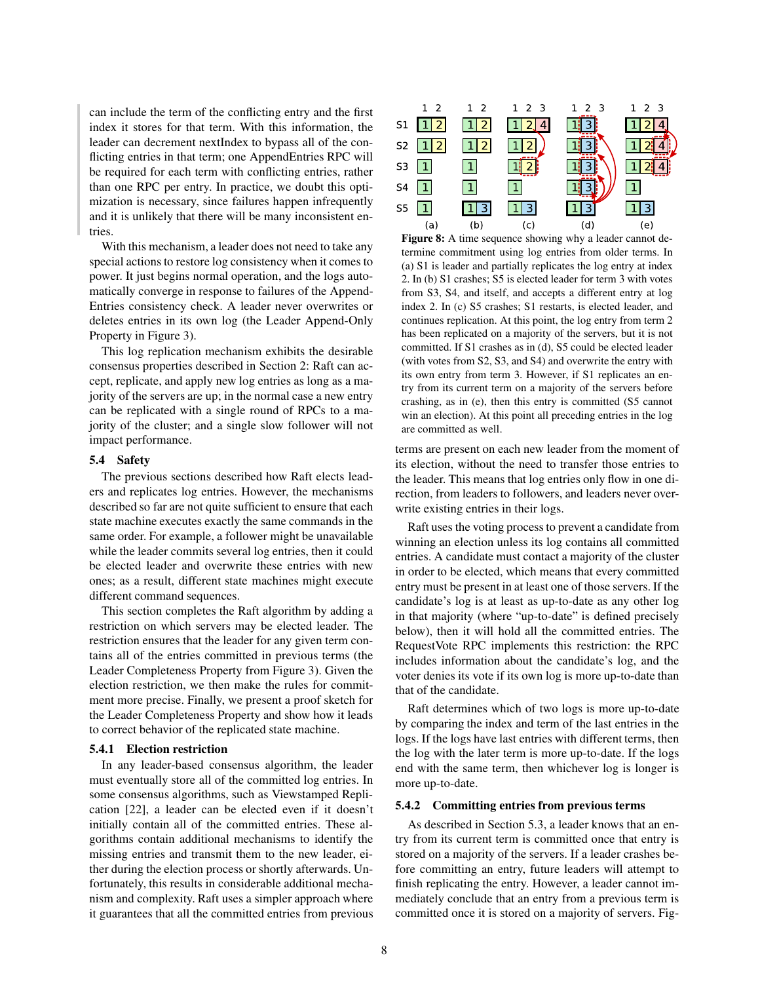can include the term of the conflicting entry and the first index it stores for that term. With this information, the leader can decrement nextIndex to bypass all of the conflicting entries in that term; one AppendEntries RPC will be required for each term with conflicting entries, rather than one RPC per entry. In practice, we doubt this optimization is necessary, since failures happen infrequently and it is unlikely that there will be many inconsistent entries.

With this mechanism, a leader does not need to take any special actions to restore log consistency when it comes to power. It just begins normal operation, and the logs automatically converge in response to failures of the Append-Entries consistency check. A leader never overwrites or deletes entries in its own log (the Leader Append-Only Property in Figure 3).

This log replication mechanism exhibits the desirable consensus properties described in Section 2: Raft can accept, replicate, and apply new log entries as long as a majority of the servers are up; in the normal case a new entry can be replicated with a single round of RPCs to a majority of the cluster; and a single slow follower will not impact performance.

# 5.4 Safety

The previous sections described how Raft elects leaders and replicates log entries. However, the mechanisms described so far are not quite sufficient to ensure that each state machine executes exactly the same commands in the same order. For example, a follower might be unavailable while the leader commits several log entries, then it could be elected leader and overwrite these entries with new ones; as a result, different state machines might execute different command sequences.

This section completes the Raft algorithm by adding a restriction on which servers may be elected leader. The restriction ensures that the leader for any given term contains all of the entries committed in previous terms (the Leader Completeness Property from Figure 3). Given the election restriction, we then make the rules for commitment more precise. Finally, we present a proof sketch for the Leader Completeness Property and show how it leads to correct behavior of the replicated state machine.

### 5.4.1 Election restriction

In any leader-based consensus algorithm, the leader must eventually store all of the committed log entries. In some consensus algorithms, such as Viewstamped Replication [22], a leader can be elected even if it doesn't initially contain all of the committed entries. These algorithms contain additional mechanisms to identify the missing entries and transmit them to the new leader, either during the election process or shortly afterwards. Unfortunately, this results in considerable additional mechanism and complexity. Raft uses a simpler approach where it guarantees that all the committed entries from previous



Figure 8: A time sequence showing why a leader cannot determine commitment using log entries from older terms. In (a) S1 is leader and partially replicates the log entry at index 2. In (b) S1 crashes; S5 is elected leader for term 3 with votes from S3, S4, and itself, and accepts a different entry at log index 2. In (c) S5 crashes; S1 restarts, is elected leader, and continues replication. At this point, the log entry from term 2 has been replicated on a majority of the servers, but it is not committed. If S1 crashes as in (d), S5 could be elected leader (with votes from S2, S3, and S4) and overwrite the entry with its own entry from term 3. However, if S1 replicates an entry from its current term on a majority of the servers before crashing, as in (e), then this entry is committed (S5 cannot win an election). At this point all preceding entries in the log are committed as well.

terms are present on each new leader from the moment of its election, without the need to transfer those entries to the leader. This means that log entries only flow in one direction, from leaders to followers, and leaders never overwrite existing entries in their logs.

Raft uses the voting process to prevent a candidate from winning an election unless its log contains all committed entries. A candidate must contact a majority of the cluster in order to be elected, which means that every committed entry must be present in at least one of those servers. If the candidate's log is at least as up-to-date as any other log in that majority (where "up-to-date" is defined precisely below), then it will hold all the committed entries. The RequestVote RPC implements this restriction: the RPC includes information about the candidate's log, and the voter denies its vote if its own log is more up-to-date than that of the candidate.

Raft determines which of two logs is more up-to-date by comparing the index and term of the last entries in the logs. If the logs have last entries with different terms, then the log with the later term is more up-to-date. If the logs end with the same term, then whichever log is longer is more up-to-date.

#### 5.4.2 Committing entries from previous terms

As described in Section 5.3, a leader knows that an entry from its current term is committed once that entry is stored on a majority of the servers. If a leader crashes before committing an entry, future leaders will attempt to finish replicating the entry. However, a leader cannot immediately conclude that an entry from a previous term is committed once it is stored on a majority of servers. Fig-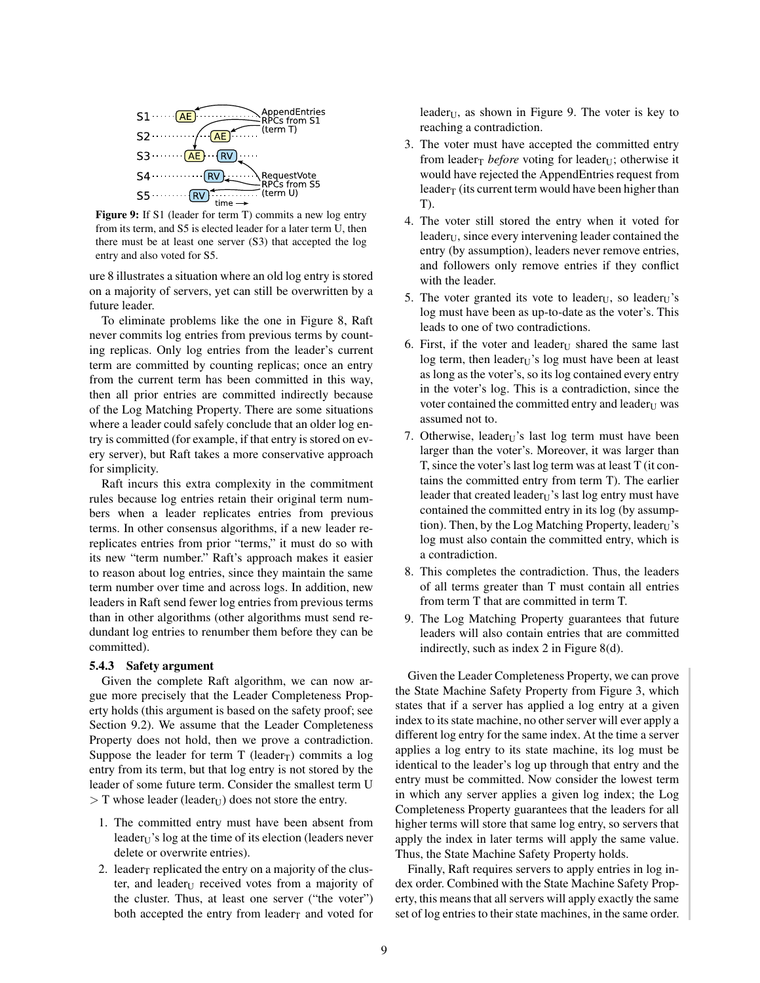

Figure 9: If S1 (leader for term T) commits a new log entry from its term, and S5 is elected leader for a later term U, then there must be at least one server (S3) that accepted the log entry and also voted for S5.

ure 8 illustrates a situation where an old log entry is stored on a majority of servers, yet can still be overwritten by a future leader.

To eliminate problems like the one in Figure 8, Raft never commits log entries from previous terms by counting replicas. Only log entries from the leader's current term are committed by counting replicas; once an entry from the current term has been committed in this way, then all prior entries are committed indirectly because of the Log Matching Property. There are some situations where a leader could safely conclude that an older log entry is committed (for example, if that entry is stored on every server), but Raft takes a more conservative approach for simplicity.

Raft incurs this extra complexity in the commitment rules because log entries retain their original term numbers when a leader replicates entries from previous terms. In other consensus algorithms, if a new leader rereplicates entries from prior "terms," it must do so with its new "term number." Raft's approach makes it easier to reason about log entries, since they maintain the same term number over time and across logs. In addition, new leaders in Raft send fewer log entries from previous terms than in other algorithms (other algorithms must send redundant log entries to renumber them before they can be committed).

#### 5.4.3 Safety argument

Given the complete Raft algorithm, we can now argue more precisely that the Leader Completeness Property holds (this argument is based on the safety proof; see Section 9.2). We assume that the Leader Completeness Property does not hold, then we prove a contradiction. Suppose the leader for term  $T$  (leader<sub>T</sub>) commits a log entry from its term, but that log entry is not stored by the leader of some future term. Consider the smallest term U  $>$  T whose leader (leader<sub>U</sub>) does not store the entry.

- 1. The committed entry must have been absent from  $leader_U$ 's log at the time of its election (leaders never delete or overwrite entries).
- 2. leader $<sub>T</sub>$  replicated the entry on a majority of the clus-</sub> ter, and leader $U$  received votes from a majority of the cluster. Thus, at least one server ("the voter") both accepted the entry from leader<sub>T</sub> and voted for

leader<sub>U</sub>, as shown in Figure 9. The voter is key to reaching a contradiction.

- 3. The voter must have accepted the committed entry from leader<sub>T</sub> *before* voting for leader<sub>U</sub>; otherwise it would have rejected the AppendEntries request from leader<sub>T</sub> (its current term would have been higher than T).
- 4. The voter still stored the entry when it voted for leader $U$ , since every intervening leader contained the entry (by assumption), leaders never remove entries, and followers only remove entries if they conflict with the leader.
- 5. The voter granted its vote to leader<sub>U</sub>, so leader<sub>U</sub>'s log must have been as up-to-date as the voter's. This leads to one of two contradictions.
- 6. First, if the voter and leader $_{U}$  shared the same last log term, then leader $U$ 's log must have been at least as long as the voter's, so its log contained every entry in the voter's log. This is a contradiction, since the voter contained the committed entry and leader<sub>U</sub> was assumed not to.
- 7. Otherwise, leader $U$ 's last log term must have been larger than the voter's. Moreover, it was larger than T, since the voter's last log term was at least T (it contains the committed entry from term T). The earlier leader that created leader $U$ 's last log entry must have contained the committed entry in its log (by assumption). Then, by the Log Matching Property, leader $<sub>U</sub>$ 's</sub> log must also contain the committed entry, which is a contradiction.
- 8. This completes the contradiction. Thus, the leaders of all terms greater than T must contain all entries from term T that are committed in term T.
- 9. The Log Matching Property guarantees that future leaders will also contain entries that are committed indirectly, such as index 2 in Figure 8(d).

Given the Leader Completeness Property, we can prove the State Machine Safety Property from Figure 3, which states that if a server has applied a log entry at a given index to its state machine, no other server will ever apply a different log entry for the same index. At the time a server applies a log entry to its state machine, its log must be identical to the leader's log up through that entry and the entry must be committed. Now consider the lowest term in which any server applies a given log index; the Log Completeness Property guarantees that the leaders for all higher terms will store that same log entry, so servers that apply the index in later terms will apply the same value. Thus, the State Machine Safety Property holds.

Finally, Raft requires servers to apply entries in log index order. Combined with the State Machine Safety Property, this means that all servers will apply exactly the same set of log entries to their state machines, in the same order.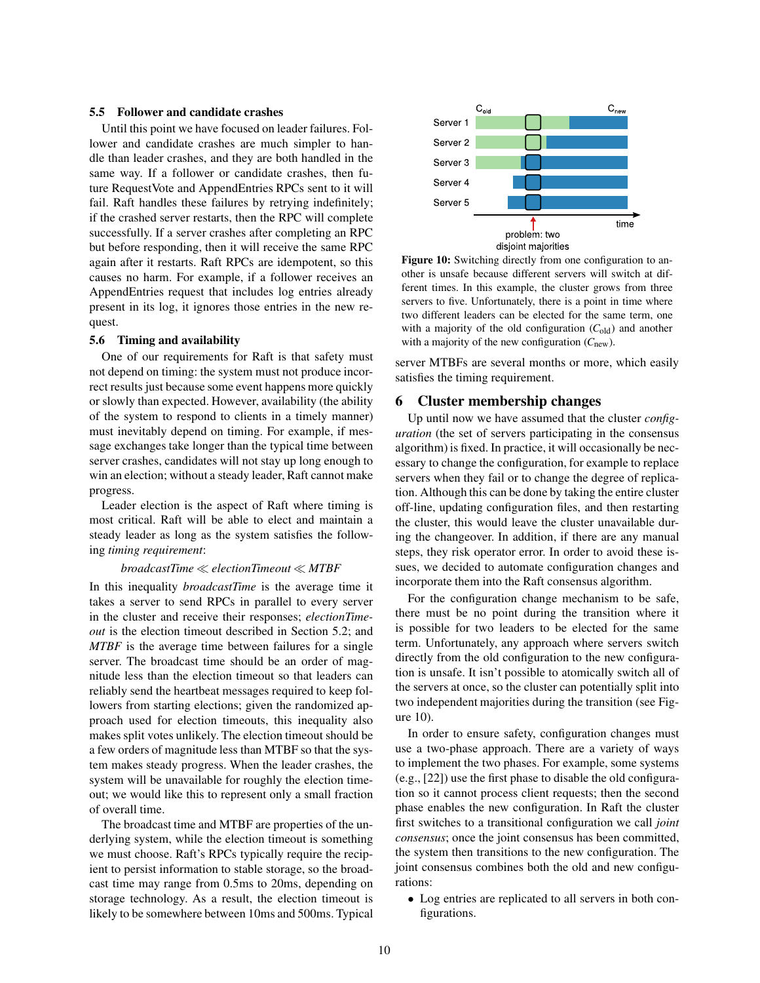#### 5.5 Follower and candidate crashes

Until this point we have focused on leader failures. Follower and candidate crashes are much simpler to handle than leader crashes, and they are both handled in the same way. If a follower or candidate crashes, then future RequestVote and AppendEntries RPCs sent to it will fail. Raft handles these failures by retrying indefinitely; if the crashed server restarts, then the RPC will complete successfully. If a server crashes after completing an RPC but before responding, then it will receive the same RPC again after it restarts. Raft RPCs are idempotent, so this causes no harm. For example, if a follower receives an AppendEntries request that includes log entries already present in its log, it ignores those entries in the new request.

#### 5.6 Timing and availability

One of our requirements for Raft is that safety must not depend on timing: the system must not produce incorrect results just because some event happens more quickly or slowly than expected. However, availability (the ability of the system to respond to clients in a timely manner) must inevitably depend on timing. For example, if message exchanges take longer than the typical time between server crashes, candidates will not stay up long enough to win an election; without a steady leader, Raft cannot make progress.

Leader election is the aspect of Raft where timing is most critical. Raft will be able to elect and maintain a steady leader as long as the system satisfies the following *timing requirement*:

#### *broadcastTime* ≪ *electionTimeout* ≪ *MTBF*

In this inequality *broadcastTime* is the average time it takes a server to send RPCs in parallel to every server in the cluster and receive their responses; *electionTimeout* is the election timeout described in Section 5.2; and *MTBF* is the average time between failures for a single server. The broadcast time should be an order of magnitude less than the election timeout so that leaders can reliably send the heartbeat messages required to keep followers from starting elections; given the randomized approach used for election timeouts, this inequality also makes split votes unlikely. The election timeout should be a few orders of magnitude less than MTBF so that the system makes steady progress. When the leader crashes, the system will be unavailable for roughly the election timeout; we would like this to represent only a small fraction of overall time.

The broadcast time and MTBF are properties of the underlying system, while the election timeout is something we must choose. Raft's RPCs typically require the recipient to persist information to stable storage, so the broadcast time may range from 0.5ms to 20ms, depending on storage technology. As a result, the election timeout is likely to be somewhere between 10ms and 500ms. Typical



Figure 10: Switching directly from one configuration to another is unsafe because different servers will switch at different times. In this example, the cluster grows from three servers to five. Unfortunately, there is a point in time where two different leaders can be elected for the same term, one with a majority of the old configuration  $(C_{old})$  and another with a majority of the new configuration (*C*new).

server MTBFs are several months or more, which easily satisfies the timing requirement.

# 6 Cluster membership changes

Up until now we have assumed that the cluster *configuration* (the set of servers participating in the consensus algorithm) is fixed. In practice, it will occasionally be necessary to change the configuration, for example to replace servers when they fail or to change the degree of replication. Although this can be done by taking the entire cluster off-line, updating configuration files, and then restarting the cluster, this would leave the cluster unavailable during the changeover. In addition, if there are any manual steps, they risk operator error. In order to avoid these issues, we decided to automate configuration changes and incorporate them into the Raft consensus algorithm.

For the configuration change mechanism to be safe, there must be no point during the transition where it is possible for two leaders to be elected for the same term. Unfortunately, any approach where servers switch directly from the old configuration to the new configuration is unsafe. It isn't possible to atomically switch all of the servers at once, so the cluster can potentially split into two independent majorities during the transition (see Figure 10).

In order to ensure safety, configuration changes must use a two-phase approach. There are a variety of ways to implement the two phases. For example, some systems (e.g., [22]) use the first phase to disable the old configuration so it cannot process client requests; then the second phase enables the new configuration. In Raft the cluster first switches to a transitional configuration we call *joint consensus*; once the joint consensus has been committed, the system then transitions to the new configuration. The joint consensus combines both the old and new configurations:

• Log entries are replicated to all servers in both configurations.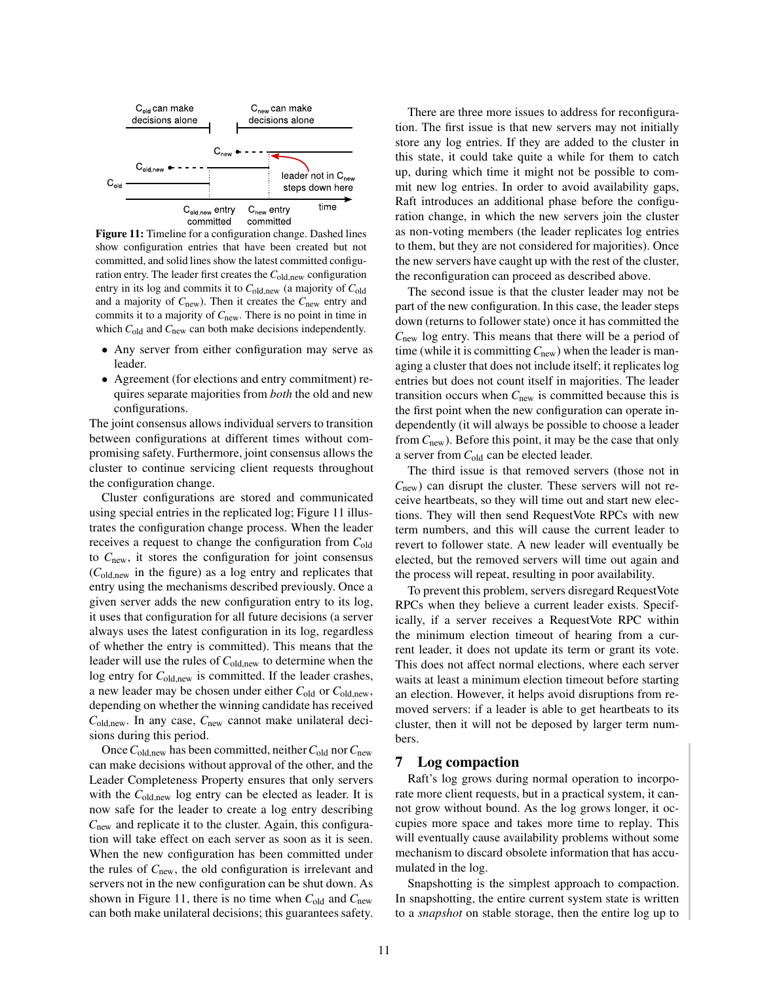

Figure 11: Timeline for a configuration change. Dashed lines show configuration entries that have been created but not committed, and solid lines show the latest committed configuration entry. The leader first creates the C<sub>old,new</sub> configuration entry in its log and commits it to *C*old,new (a majority of *C*old and a majority of *C*new). Then it creates the *C*new entry and commits it to a majority of *C*new. There is no point in time in which  $C_{old}$  and  $C_{new}$  can both make decisions independently.

- Any server from either configuration may serve as leader.
- Agreement (for elections and entry commitment) requires separate majorities from *both* the old and new configurations.

The joint consensus allows individual servers to transition between configurations at different times without compromising safety. Furthermore, joint consensus allows the cluster to continue servicing client requests throughout the configuration change.

Cluster configurations are stored and communicated using special entries in the replicated log; Figure 11 illustrates the configuration change process. When the leader receives a request to change the configuration from *C*old to *C*new, it stores the configuration for joint consensus (*C*old,new in the figure) as a log entry and replicates that entry using the mechanisms described previously. Once a given server adds the new configuration entry to its log, it uses that configuration for all future decisions (a server always uses the latest configuration in its log, regardless of whether the entry is committed). This means that the leader will use the rules of *C*old,new to determine when the log entry for *C*<sub>old,new</sub> is committed. If the leader crashes, a new leader may be chosen under either *C*old or *C*old,new, depending on whether the winning candidate has received *C*old,new. In any case, *C*new cannot make unilateral decisions during this period.

Once*C*old,new has been committed, neither*C*old nor*C*new can make decisions without approval of the other, and the Leader Completeness Property ensures that only servers with the C<sub>old,new</sub> log entry can be elected as leader. It is now safe for the leader to create a log entry describing *C*<sub>new</sub> and replicate it to the cluster. Again, this configuration will take effect on each server as soon as it is seen. When the new configuration has been committed under the rules of *C*new, the old configuration is irrelevant and servers not in the new configuration can be shut down. As shown in Figure 11, there is no time when  $C_{old}$  and  $C_{new}$ can both make unilateral decisions; this guarantees safety.

There are three more issues to address for reconfiguration. The first issue is that new servers may not initially store any log entries. If they are added to the cluster in this state, it could take quite a while for them to catch up, during which time it might not be possible to commit new log entries. In order to avoid availability gaps, Raft introduces an additional phase before the configuration change, in which the new servers join the cluster as non-voting members (the leader replicates log entries to them, but they are not considered for majorities). Once the new servers have caught up with the rest of the cluster, the reconfiguration can proceed as described above.

The second issue is that the cluster leader may not be part of the new configuration. In this case, the leader steps down (returns to follower state) once it has committed the *C*new log entry. This means that there will be a period of time (while it is committing  $C_{\text{new}}$ ) when the leader is managing a cluster that does not include itself; it replicates log entries but does not count itself in majorities. The leader transition occurs when *C*new is committed because this is the first point when the new configuration can operate independently (it will always be possible to choose a leader from  $C<sub>new</sub>$ ). Before this point, it may be the case that only a server from *C*old can be elected leader.

The third issue is that removed servers (those not in  $C<sub>new</sub>$ ) can disrupt the cluster. These servers will not receive heartbeats, so they will time out and start new elections. They will then send RequestVote RPCs with new term numbers, and this will cause the current leader to revert to follower state. A new leader will eventually be elected, but the removed servers will time out again and the process will repeat, resulting in poor availability.

To prevent this problem, servers disregard RequestVote RPCs when they believe a current leader exists. Specifically, if a server receives a RequestVote RPC within the minimum election timeout of hearing from a current leader, it does not update its term or grant its vote. This does not affect normal elections, where each server waits at least a minimum election timeout before starting an election. However, it helps avoid disruptions from removed servers: if a leader is able to get heartbeats to its cluster, then it will not be deposed by larger term numbers.

### 7 Log compaction

Raft's log grows during normal operation to incorporate more client requests, but in a practical system, it cannot grow without bound. As the log grows longer, it occupies more space and takes more time to replay. This will eventually cause availability problems without some mechanism to discard obsolete information that has accumulated in the log.

Snapshotting is the simplest approach to compaction. In snapshotting, the entire current system state is written to a *snapshot* on stable storage, then the entire log up to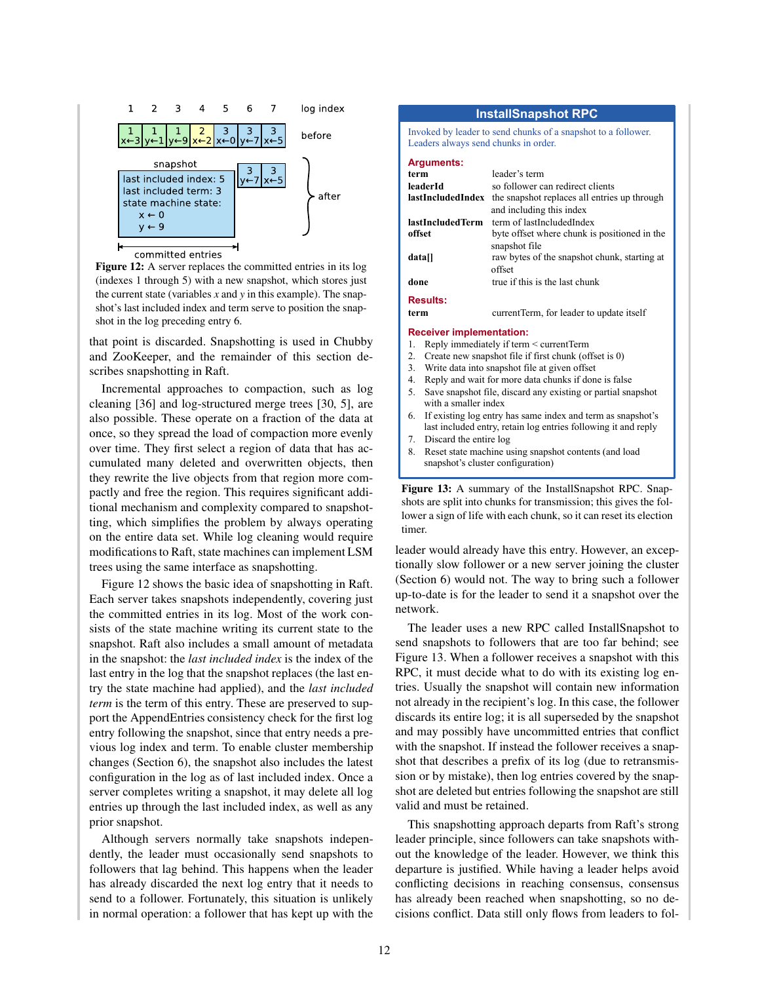

Figure 12: A server replaces the committed entries in its log (indexes 1 through 5) with a new snapshot, which stores just the current state (variables *x* and *y* in this example). The snapshot's last included index and term serve to position the snapshot in the log preceding entry 6.

that point is discarded. Snapshotting is used in Chubby and ZooKeeper, and the remainder of this section describes snapshotting in Raft.

Incremental approaches to compaction, such as log cleaning [36] and log-structured merge trees [30, 5], are also possible. These operate on a fraction of the data at once, so they spread the load of compaction more evenly over time. They first select a region of data that has accumulated many deleted and overwritten objects, then they rewrite the live objects from that region more compactly and free the region. This requires significant additional mechanism and complexity compared to snapshotting, which simplifies the problem by always operating on the entire data set. While log cleaning would require modifications to Raft, state machines can implement LSM trees using the same interface as snapshotting.

Figure 12 shows the basic idea of snapshotting in Raft. Each server takes snapshots independently, covering just the committed entries in its log. Most of the work consists of the state machine writing its current state to the snapshot. Raft also includes a small amount of metadata in the snapshot: the *last included index* is the index of the last entry in the log that the snapshot replaces (the last entry the state machine had applied), and the *last included term* is the term of this entry. These are preserved to support the AppendEntries consistency check for the first log entry following the snapshot, since that entry needs a previous log index and term. To enable cluster membership changes (Section 6), the snapshot also includes the latest configuration in the log as of last included index. Once a server completes writing a snapshot, it may delete all log entries up through the last included index, as well as any prior snapshot.

Although servers normally take snapshots independently, the leader must occasionally send snapshots to followers that lag behind. This happens when the leader has already discarded the next log entry that it needs to send to a follower. Fortunately, this situation is unlikely in normal operation: a follower that has kept up with the

#### **InstallSnapshot RPC**

Invoked by leader to send chunks of a snapshot to a follower. Leaders always send chunks in order.

| <b>Arguments:</b>               |                                              |  |
|---------------------------------|----------------------------------------------|--|
| term                            | leader's term                                |  |
| leaderId                        | so follower can redirect clients             |  |
| lastIncludedIndex               | the snapshot replaces all entries up through |  |
|                                 | and including this index                     |  |
| lastIncludedTerm                | term of lastIncludedIndex                    |  |
| offset                          | byte offset where chunk is positioned in the |  |
|                                 | snapshot file                                |  |
| datall                          | raw bytes of the snapshot chunk, starting at |  |
|                                 | offset                                       |  |
| done                            | true if this is the last chunk               |  |
| <b>Results:</b>                 |                                              |  |
| term                            | currentTerm, for leader to update itself     |  |
| <b>Receiver implementation:</b> |                                              |  |

#### 1. Reply immediately if term < currentTerm

- 
- 2. Create new snapshot file if first chunk (offset is 0)<br>3. Write data into snapshot file at given offset Write data into snapshot file at given offset
- 4. Reply and wait for more data chunks if done is false
- 5. Save snapshot file, discard any existing or partial snapshot with a smaller index
- 6. If existing log entry has same index and term as snapshot's last included entry, retain log entries following it and reply
- 7. Discard the entire log
- 8. Reset state machine using snapshot contents (and load snapshot's cluster configuration)

Figure 13: A summary of the InstallSnapshot RPC. Snapshots are split into chunks for transmission; this gives the follower a sign of life with each chunk, so it can reset its election timer.

leader would already have this entry. However, an exceptionally slow follower or a new server joining the cluster (Section 6) would not. The way to bring such a follower up-to-date is for the leader to send it a snapshot over the network.

The leader uses a new RPC called InstallSnapshot to send snapshots to followers that are too far behind; see Figure 13. When a follower receives a snapshot with this RPC, it must decide what to do with its existing log entries. Usually the snapshot will contain new information not already in the recipient's log. In this case, the follower discards its entire log; it is all superseded by the snapshot and may possibly have uncommitted entries that conflict with the snapshot. If instead the follower receives a snapshot that describes a prefix of its log (due to retransmission or by mistake), then log entries covered by the snapshot are deleted but entries following the snapshot are still valid and must be retained.

This snapshotting approach departs from Raft's strong leader principle, since followers can take snapshots without the knowledge of the leader. However, we think this departure is justified. While having a leader helps avoid conflicting decisions in reaching consensus, consensus has already been reached when snapshotting, so no decisions conflict. Data still only flows from leaders to fol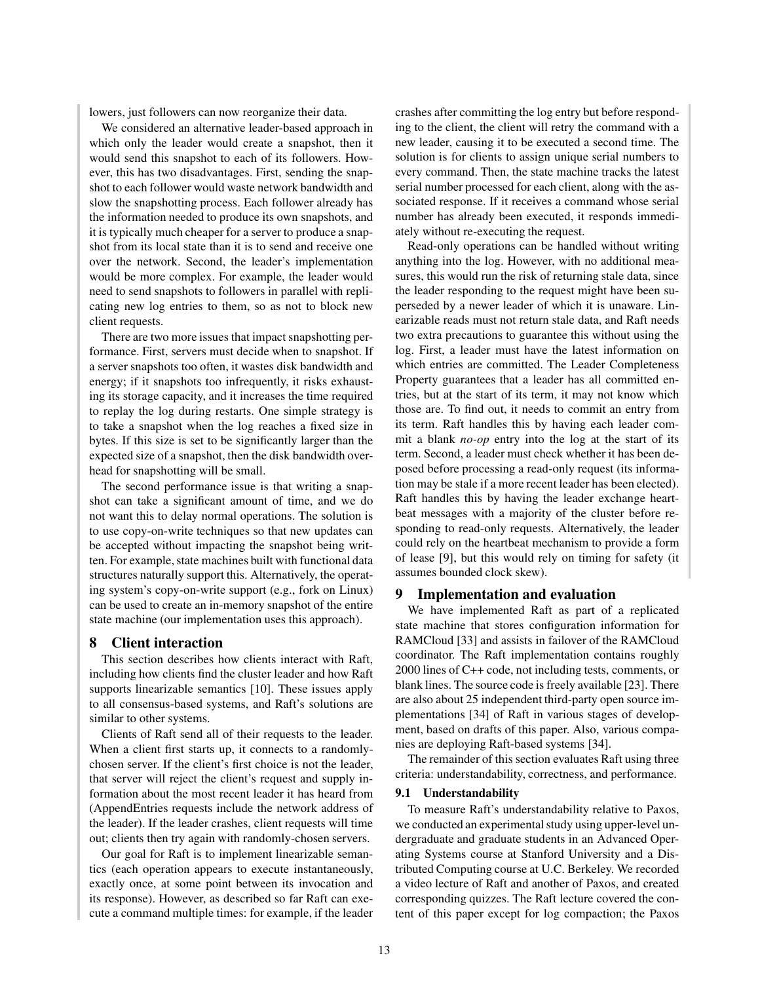lowers, just followers can now reorganize their data.

We considered an alternative leader-based approach in which only the leader would create a snapshot, then it would send this snapshot to each of its followers. However, this has two disadvantages. First, sending the snapshot to each follower would waste network bandwidth and slow the snapshotting process. Each follower already has the information needed to produce its own snapshots, and it is typically much cheaper for a server to produce a snapshot from its local state than it is to send and receive one over the network. Second, the leader's implementation would be more complex. For example, the leader would need to send snapshots to followers in parallel with replicating new log entries to them, so as not to block new client requests.

There are two more issues that impact snapshotting performance. First, servers must decide when to snapshot. If a server snapshots too often, it wastes disk bandwidth and energy; if it snapshots too infrequently, it risks exhausting its storage capacity, and it increases the time required to replay the log during restarts. One simple strategy is to take a snapshot when the log reaches a fixed size in bytes. If this size is set to be significantly larger than the expected size of a snapshot, then the disk bandwidth overhead for snapshotting will be small.

The second performance issue is that writing a snapshot can take a significant amount of time, and we do not want this to delay normal operations. The solution is to use copy-on-write techniques so that new updates can be accepted without impacting the snapshot being written. For example, state machines built with functional data structures naturally support this. Alternatively, the operating system's copy-on-write support (e.g., fork on Linux) can be used to create an in-memory snapshot of the entire state machine (our implementation uses this approach).

# 8 Client interaction

This section describes how clients interact with Raft, including how clients find the cluster leader and how Raft supports linearizable semantics [10]. These issues apply to all consensus-based systems, and Raft's solutions are similar to other systems.

Clients of Raft send all of their requests to the leader. When a client first starts up, it connects to a randomlychosen server. If the client's first choice is not the leader, that server will reject the client's request and supply information about the most recent leader it has heard from (AppendEntries requests include the network address of the leader). If the leader crashes, client requests will time out; clients then try again with randomly-chosen servers.

Our goal for Raft is to implement linearizable semantics (each operation appears to execute instantaneously, exactly once, at some point between its invocation and its response). However, as described so far Raft can execute a command multiple times: for example, if the leader crashes after committing the log entry but before responding to the client, the client will retry the command with a new leader, causing it to be executed a second time. The solution is for clients to assign unique serial numbers to every command. Then, the state machine tracks the latest serial number processed for each client, along with the associated response. If it receives a command whose serial number has already been executed, it responds immediately without re-executing the request.

Read-only operations can be handled without writing anything into the log. However, with no additional measures, this would run the risk of returning stale data, since the leader responding to the request might have been superseded by a newer leader of which it is unaware. Linearizable reads must not return stale data, and Raft needs two extra precautions to guarantee this without using the log. First, a leader must have the latest information on which entries are committed. The Leader Completeness Property guarantees that a leader has all committed entries, but at the start of its term, it may not know which those are. To find out, it needs to commit an entry from its term. Raft handles this by having each leader commit a blank *no-op* entry into the log at the start of its term. Second, a leader must check whether it has been deposed before processing a read-only request (its information may be stale if a more recent leader has been elected). Raft handles this by having the leader exchange heartbeat messages with a majority of the cluster before responding to read-only requests. Alternatively, the leader could rely on the heartbeat mechanism to provide a form of lease [9], but this would rely on timing for safety (it assumes bounded clock skew).

# 9 Implementation and evaluation

We have implemented Raft as part of a replicated state machine that stores configuration information for RAMCloud [33] and assists in failover of the RAMCloud coordinator. The Raft implementation contains roughly 2000 lines of C++ code, not including tests, comments, or blank lines. The source code is freely available [23]. There are also about 25 independent third-party open source implementations [34] of Raft in various stages of development, based on drafts of this paper. Also, various companies are deploying Raft-based systems [34].

The remainder of this section evaluates Raft using three criteria: understandability, correctness, and performance.

#### 9.1 Understandability

To measure Raft's understandability relative to Paxos, we conducted an experimental study using upper-level undergraduate and graduate students in an Advanced Operating Systems course at Stanford University and a Distributed Computing course at U.C. Berkeley. We recorded a video lecture of Raft and another of Paxos, and created corresponding quizzes. The Raft lecture covered the content of this paper except for log compaction; the Paxos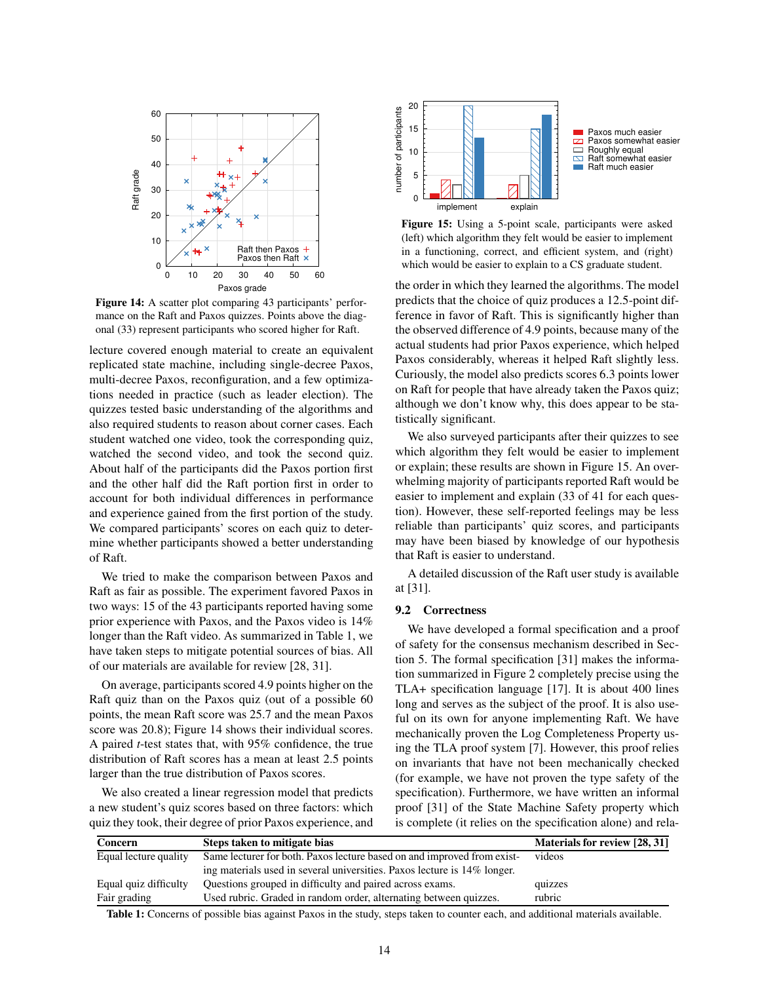

Figure 14: A scatter plot comparing 43 participants' performance on the Raft and Paxos quizzes. Points above the diagonal (33) represent participants who scored higher for Raft.

lecture covered enough material to create an equivalent replicated state machine, including single-decree Paxos, multi-decree Paxos, reconfiguration, and a few optimizations needed in practice (such as leader election). The quizzes tested basic understanding of the algorithms and also required students to reason about corner cases. Each student watched one video, took the corresponding quiz, watched the second video, and took the second quiz. About half of the participants did the Paxos portion first and the other half did the Raft portion first in order to account for both individual differences in performance and experience gained from the first portion of the study. We compared participants' scores on each quiz to determine whether participants showed a better understanding of Raft.

We tried to make the comparison between Paxos and Raft as fair as possible. The experiment favored Paxos in two ways: 15 of the 43 participants reported having some prior experience with Paxos, and the Paxos video is 14% longer than the Raft video. As summarized in Table 1, we have taken steps to mitigate potential sources of bias. All of our materials are available for review [28, 31].

On average, participants scored 4.9 points higher on the Raft quiz than on the Paxos quiz (out of a possible 60 points, the mean Raft score was 25.7 and the mean Paxos score was 20.8); Figure 14 shows their individual scores. A paired *t*-test states that, with 95% confidence, the true distribution of Raft scores has a mean at least 2.5 points larger than the true distribution of Paxos scores.

We also created a linear regression model that predicts a new student's quiz scores based on three factors: which quiz they took, their degree of prior Paxos experience, and



Figure 15: Using a 5-point scale, participants were asked (left) which algorithm they felt would be easier to implement in a functioning, correct, and efficient system, and (right) which would be easier to explain to a CS graduate student.

the order in which they learned the algorithms. The model predicts that the choice of quiz produces a 12.5-point difference in favor of Raft. This is significantly higher than the observed difference of 4.9 points, because many of the actual students had prior Paxos experience, which helped Paxos considerably, whereas it helped Raft slightly less. Curiously, the model also predicts scores 6.3 points lower on Raft for people that have already taken the Paxos quiz; although we don't know why, this does appear to be statistically significant.

We also surveyed participants after their quizzes to see which algorithm they felt would be easier to implement or explain; these results are shown in Figure 15. An overwhelming majority of participants reported Raft would be easier to implement and explain (33 of 41 for each question). However, these self-reported feelings may be less reliable than participants' quiz scores, and participants may have been biased by knowledge of our hypothesis that Raft is easier to understand.

A detailed discussion of the Raft user study is available at [31].

#### 9.2 Correctness

We have developed a formal specification and a proof of safety for the consensus mechanism described in Section 5. The formal specification [31] makes the information summarized in Figure 2 completely precise using the TLA+ specification language [17]. It is about 400 lines long and serves as the subject of the proof. It is also useful on its own for anyone implementing Raft. We have mechanically proven the Log Completeness Property using the TLA proof system [7]. However, this proof relies on invariants that have not been mechanically checked (for example, we have not proven the type safety of the specification). Furthermore, we have written an informal proof [31] of the State Machine Safety property which is complete (it relies on the specification alone) and rela-

| Concern               | Steps taken to mitigate bias                                             | Materials for review [28, 31] |
|-----------------------|--------------------------------------------------------------------------|-------------------------------|
| Equal lecture quality | Same lecturer for both. Paxos lecture based on and improved from exist-  | videos                        |
|                       | ing materials used in several universities. Paxos lecture is 14% longer. |                               |
| Equal quiz difficulty | Questions grouped in difficulty and paired across exams.                 | quizzes                       |
| Fair grading          | Used rubric. Graded in random order, alternating between quizzes.        | rubric                        |

Table 1: Concerns of possible bias against Paxos in the study, steps taken to counter each, and additional materials available.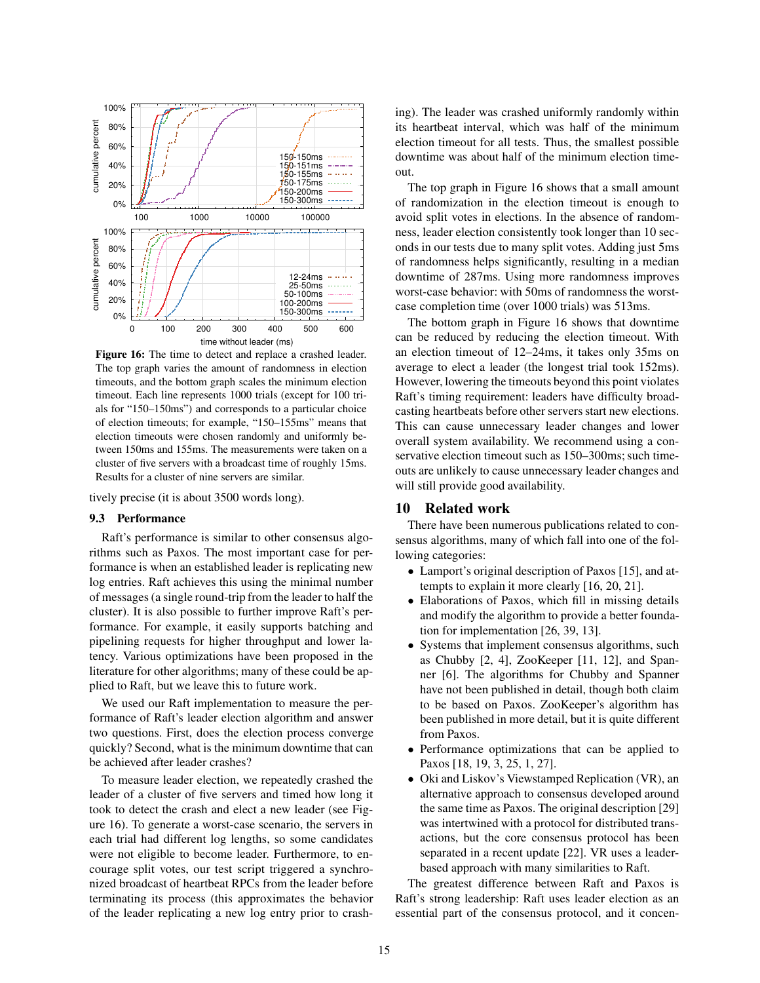

Figure 16: The time to detect and replace a crashed leader. The top graph varies the amount of randomness in election timeouts, and the bottom graph scales the minimum election timeout. Each line represents 1000 trials (except for 100 trials for "150–150ms") and corresponds to a particular choice of election timeouts; for example, "150–155ms" means that election timeouts were chosen randomly and uniformly between 150ms and 155ms. The measurements were taken on a cluster of five servers with a broadcast time of roughly 15ms. Results for a cluster of nine servers are similar.

tively precise (it is about 3500 words long).

#### 9.3 Performance

Raft's performance is similar to other consensus algorithms such as Paxos. The most important case for performance is when an established leader is replicating new log entries. Raft achieves this using the minimal number of messages (a single round-trip from the leader to half the cluster). It is also possible to further improve Raft's performance. For example, it easily supports batching and pipelining requests for higher throughput and lower latency. Various optimizations have been proposed in the literature for other algorithms; many of these could be applied to Raft, but we leave this to future work.

We used our Raft implementation to measure the performance of Raft's leader election algorithm and answer two questions. First, does the election process converge quickly? Second, what is the minimum downtime that can be achieved after leader crashes?

To measure leader election, we repeatedly crashed the leader of a cluster of five servers and timed how long it took to detect the crash and elect a new leader (see Figure 16). To generate a worst-case scenario, the servers in each trial had different log lengths, so some candidates were not eligible to become leader. Furthermore, to encourage split votes, our test script triggered a synchronized broadcast of heartbeat RPCs from the leader before terminating its process (this approximates the behavior of the leader replicating a new log entry prior to crashing). The leader was crashed uniformly randomly within its heartbeat interval, which was half of the minimum election timeout for all tests. Thus, the smallest possible downtime was about half of the minimum election timeout.

The top graph in Figure 16 shows that a small amount of randomization in the election timeout is enough to avoid split votes in elections. In the absence of randomness, leader election consistently took longer than 10 seconds in our tests due to many split votes. Adding just 5ms of randomness helps significantly, resulting in a median downtime of 287ms. Using more randomness improves worst-case behavior: with 50ms of randomness the worstcase completion time (over 1000 trials) was 513ms.

The bottom graph in Figure 16 shows that downtime can be reduced by reducing the election timeout. With an election timeout of 12–24ms, it takes only 35ms on average to elect a leader (the longest trial took 152ms). However, lowering the timeouts beyond this point violates Raft's timing requirement: leaders have difficulty broadcasting heartbeats before other servers start new elections. This can cause unnecessary leader changes and lower overall system availability. We recommend using a conservative election timeout such as 150–300ms; such timeouts are unlikely to cause unnecessary leader changes and will still provide good availability.

# 10 Related work

There have been numerous publications related to consensus algorithms, many of which fall into one of the following categories:

- Lamport's original description of Paxos [15], and attempts to explain it more clearly [16, 20, 21].
- Elaborations of Paxos, which fill in missing details and modify the algorithm to provide a better foundation for implementation [26, 39, 13].
- Systems that implement consensus algorithms, such as Chubby [2, 4], ZooKeeper [11, 12], and Spanner [6]. The algorithms for Chubby and Spanner have not been published in detail, though both claim to be based on Paxos. ZooKeeper's algorithm has been published in more detail, but it is quite different from Paxos.
- Performance optimizations that can be applied to Paxos [18, 19, 3, 25, 1, 27].
- Oki and Liskov's Viewstamped Replication (VR), an alternative approach to consensus developed around the same time as Paxos. The original description [29] was intertwined with a protocol for distributed transactions, but the core consensus protocol has been separated in a recent update [22]. VR uses a leaderbased approach with many similarities to Raft.

The greatest difference between Raft and Paxos is Raft's strong leadership: Raft uses leader election as an essential part of the consensus protocol, and it concen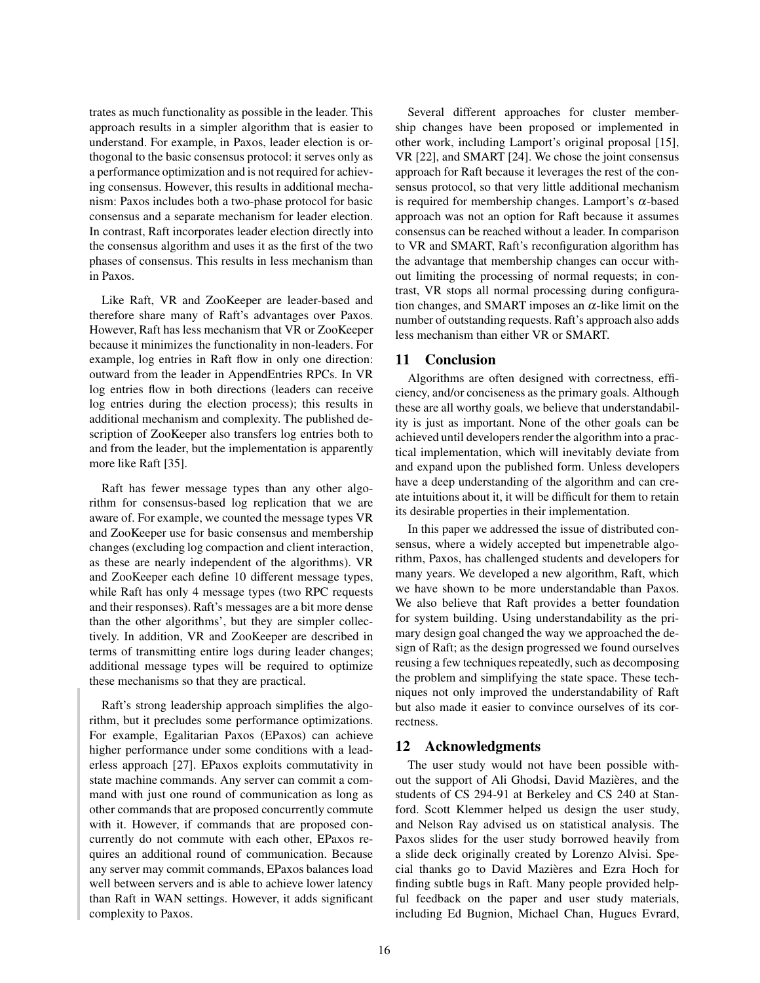trates as much functionality as possible in the leader. This approach results in a simpler algorithm that is easier to understand. For example, in Paxos, leader election is orthogonal to the basic consensus protocol: it serves only as a performance optimization and is not required for achieving consensus. However, this results in additional mechanism: Paxos includes both a two-phase protocol for basic consensus and a separate mechanism for leader election. In contrast, Raft incorporates leader election directly into the consensus algorithm and uses it as the first of the two phases of consensus. This results in less mechanism than in Paxos.

Like Raft, VR and ZooKeeper are leader-based and therefore share many of Raft's advantages over Paxos. However, Raft has less mechanism that VR or ZooKeeper because it minimizes the functionality in non-leaders. For example, log entries in Raft flow in only one direction: outward from the leader in AppendEntries RPCs. In VR log entries flow in both directions (leaders can receive log entries during the election process); this results in additional mechanism and complexity. The published description of ZooKeeper also transfers log entries both to and from the leader, but the implementation is apparently more like Raft [35].

Raft has fewer message types than any other algorithm for consensus-based log replication that we are aware of. For example, we counted the message types VR and ZooKeeper use for basic consensus and membership changes (excluding log compaction and client interaction, as these are nearly independent of the algorithms). VR and ZooKeeper each define 10 different message types, while Raft has only 4 message types (two RPC requests and their responses). Raft's messages are a bit more dense than the other algorithms', but they are simpler collectively. In addition, VR and ZooKeeper are described in terms of transmitting entire logs during leader changes; additional message types will be required to optimize these mechanisms so that they are practical.

Raft's strong leadership approach simplifies the algorithm, but it precludes some performance optimizations. For example, Egalitarian Paxos (EPaxos) can achieve higher performance under some conditions with a leaderless approach [27]. EPaxos exploits commutativity in state machine commands. Any server can commit a command with just one round of communication as long as other commands that are proposed concurrently commute with it. However, if commands that are proposed concurrently do not commute with each other, EPaxos requires an additional round of communication. Because any server may commit commands, EPaxos balances load well between servers and is able to achieve lower latency than Raft in WAN settings. However, it adds significant complexity to Paxos.

Several different approaches for cluster membership changes have been proposed or implemented in other work, including Lamport's original proposal [15], VR [22], and SMART [24]. We chose the joint consensus approach for Raft because it leverages the rest of the consensus protocol, so that very little additional mechanism is required for membership changes. Lamport's <sup>α</sup>-based approach was not an option for Raft because it assumes consensus can be reached without a leader. In comparison to VR and SMART, Raft's reconfiguration algorithm has the advantage that membership changes can occur without limiting the processing of normal requests; in contrast, VR stops all normal processing during configuration changes, and SMART imposes an  $\alpha$ -like limit on the number of outstanding requests. Raft's approach also adds less mechanism than either VR or SMART.

# 11 Conclusion

Algorithms are often designed with correctness, efficiency, and/or conciseness as the primary goals. Although these are all worthy goals, we believe that understandability is just as important. None of the other goals can be achieved until developers render the algorithm into a practical implementation, which will inevitably deviate from and expand upon the published form. Unless developers have a deep understanding of the algorithm and can create intuitions about it, it will be difficult for them to retain its desirable properties in their implementation.

In this paper we addressed the issue of distributed consensus, where a widely accepted but impenetrable algorithm, Paxos, has challenged students and developers for many years. We developed a new algorithm, Raft, which we have shown to be more understandable than Paxos. We also believe that Raft provides a better foundation for system building. Using understandability as the primary design goal changed the way we approached the design of Raft; as the design progressed we found ourselves reusing a few techniques repeatedly, such as decomposing the problem and simplifying the state space. These techniques not only improved the understandability of Raft but also made it easier to convince ourselves of its correctness.

# 12 Acknowledgments

The user study would not have been possible without the support of Ali Ghodsi, David Mazières, and the students of CS 294-91 at Berkeley and CS 240 at Stanford. Scott Klemmer helped us design the user study, and Nelson Ray advised us on statistical analysis. The Paxos slides for the user study borrowed heavily from a slide deck originally created by Lorenzo Alvisi. Special thanks go to David Mazières and Ezra Hoch for finding subtle bugs in Raft. Many people provided helpful feedback on the paper and user study materials, including Ed Bugnion, Michael Chan, Hugues Evrard,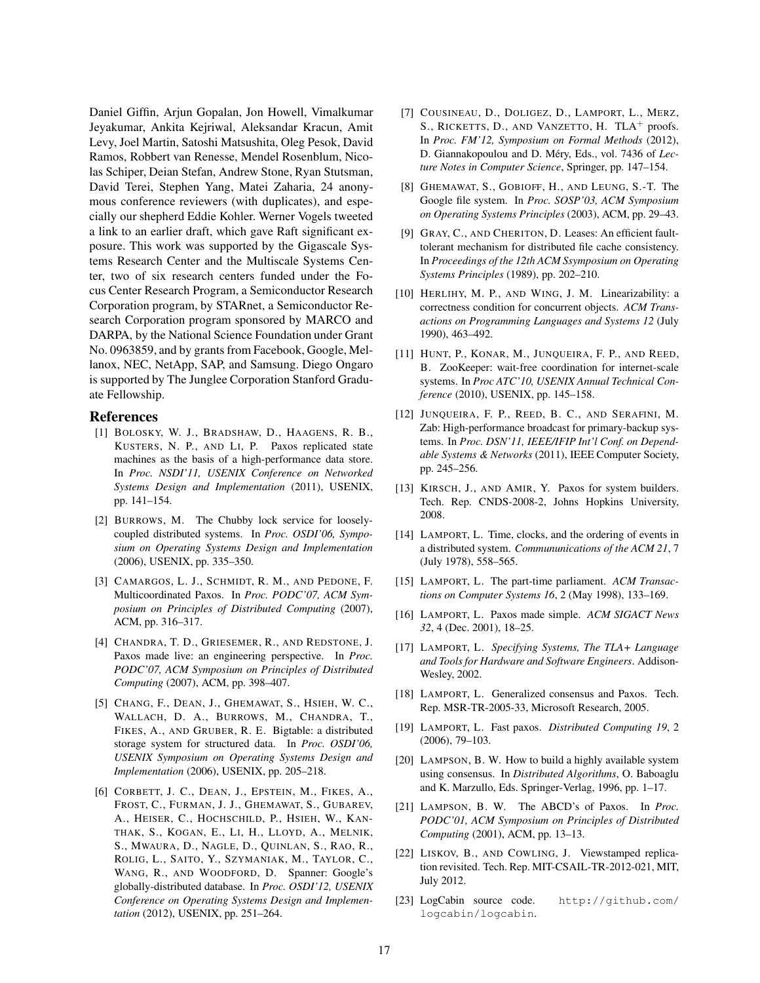Daniel Giffin, Arjun Gopalan, Jon Howell, Vimalkumar Jeyakumar, Ankita Kejriwal, Aleksandar Kracun, Amit Levy, Joel Martin, Satoshi Matsushita, Oleg Pesok, David Ramos, Robbert van Renesse, Mendel Rosenblum, Nicolas Schiper, Deian Stefan, Andrew Stone, Ryan Stutsman, David Terei, Stephen Yang, Matei Zaharia, 24 anonymous conference reviewers (with duplicates), and especially our shepherd Eddie Kohler. Werner Vogels tweeted a link to an earlier draft, which gave Raft significant exposure. This work was supported by the Gigascale Systems Research Center and the Multiscale Systems Center, two of six research centers funded under the Focus Center Research Program, a Semiconductor Research Corporation program, by STARnet, a Semiconductor Research Corporation program sponsored by MARCO and DARPA, by the National Science Foundation under Grant No. 0963859, and by grants from Facebook, Google, Mellanox, NEC, NetApp, SAP, and Samsung. Diego Ongaro is supported by The Junglee Corporation Stanford Graduate Fellowship.

# References

- [1] BOLOSKY, W. J., BRADSHAW, D., HAAGENS, R. B., KUSTERS, N. P., AND LI, P. Paxos replicated state machines as the basis of a high-performance data store. In *Proc. NSDI'11, USENIX Conference on Networked Systems Design and Implementation* (2011), USENIX, pp. 141–154.
- [2] BURROWS, M. The Chubby lock service for looselycoupled distributed systems. In *Proc. OSDI'06, Symposium on Operating Systems Design and Implementation* (2006), USENIX, pp. 335–350.
- [3] CAMARGOS, L. J., SCHMIDT, R. M., AND PEDONE, F. Multicoordinated Paxos. In *Proc. PODC'07, ACM Symposium on Principles of Distributed Computing* (2007), ACM, pp. 316–317.
- [4] CHANDRA, T. D., GRIESEMER, R., AND REDSTONE, J. Paxos made live: an engineering perspective. In *Proc. PODC'07, ACM Symposium on Principles of Distributed Computing* (2007), ACM, pp. 398–407.
- [5] CHANG, F., DEAN, J., GHEMAWAT, S., HSIEH, W. C., WALLACH, D. A., BURROWS, M., CHANDRA, T., FIKES, A., AND GRUBER, R. E. Bigtable: a distributed storage system for structured data. In *Proc. OSDI'06, USENIX Symposium on Operating Systems Design and Implementation* (2006), USENIX, pp. 205–218.
- [6] CORBETT, J. C., DEAN, J., EPSTEIN, M., FIKES, A., FROST, C., FURMAN, J. J., GHEMAWAT, S., GUBAREV, A., HEISER, C., HOCHSCHILD, P., HSIEH, W., KAN-THAK, S., KOGAN, E., LI, H., LLOYD, A., MELNIK, S., MWAURA, D., NAGLE, D., QUINLAN, S., RAO, R., ROLIG, L., SAITO, Y., SZYMANIAK, M., TAYLOR, C., WANG, R., AND WOODFORD, D. Spanner: Google's globally-distributed database. In *Proc. OSDI'12, USENIX Conference on Operating Systems Design and Implementation* (2012), USENIX, pp. 251–264.
- [7] COUSINEAU, D., DOLIGEZ, D., LAMPORT, L., MERZ, S., RICKETTS, D., AND VANZETTO, H. TLA<sup>+</sup> proofs. In *Proc. FM'12, Symposium on Formal Methods* (2012), D. Giannakopoulou and D. Méry, Eds., vol. 7436 of *Lecture Notes in Computer Science*, Springer, pp. 147–154.
- [8] GHEMAWAT, S., GOBIOFF, H., AND LEUNG, S.-T. The Google file system. In *Proc. SOSP'03, ACM Symposium on Operating Systems Principles* (2003), ACM, pp. 29–43.
- [9] GRAY, C., AND CHERITON, D. Leases: An efficient faulttolerant mechanism for distributed file cache consistency. In *Proceedings of the 12th ACM Ssymposium on Operating Systems Principles* (1989), pp. 202–210.
- [10] HERLIHY, M. P., AND WING, J. M. Linearizability: a correctness condition for concurrent objects. *ACM Transactions on Programming Languages and Systems 12* (July 1990), 463–492.
- [11] HUNT, P., KONAR, M., JUNQUEIRA, F. P., AND REED, B. ZooKeeper: wait-free coordination for internet-scale systems. In *Proc ATC'10, USENIX Annual Technical Conference* (2010), USENIX, pp. 145–158.
- [12] JUNQUEIRA, F. P., REED, B. C., AND SERAFINI, M. Zab: High-performance broadcast for primary-backup systems. In *Proc. DSN'11, IEEE/IFIP Int'l Conf. on Dependable Systems & Networks* (2011), IEEE Computer Society, pp. 245–256.
- [13] KIRSCH, J., AND AMIR, Y. Paxos for system builders. Tech. Rep. CNDS-2008-2, Johns Hopkins University, 2008.
- [14] LAMPORT, L. Time, clocks, and the ordering of events in a distributed system. *Commununications of the ACM 21*, 7 (July 1978), 558–565.
- [15] LAMPORT, L. The part-time parliament. *ACM Transactions on Computer Systems 16*, 2 (May 1998), 133–169.
- [16] LAMPORT, L. Paxos made simple. *ACM SIGACT News 32*, 4 (Dec. 2001), 18–25.
- [17] LAMPORT, L. *Specifying Systems, The TLA+ Language and Tools for Hardware and Software Engineers*. Addison-Wesley, 2002.
- [18] LAMPORT, L. Generalized consensus and Paxos. Tech. Rep. MSR-TR-2005-33, Microsoft Research, 2005.
- [19] LAMPORT, L. Fast paxos. *Distributed Computing 19*, 2 (2006), 79–103.
- [20] LAMPSON, B. W. How to build a highly available system using consensus. In *Distributed Algorithms*, O. Baboaglu and K. Marzullo, Eds. Springer-Verlag, 1996, pp. 1–17.
- [21] LAMPSON, B. W. The ABCD's of Paxos. In *Proc. PODC'01, ACM Symposium on Principles of Distributed Computing* (2001), ACM, pp. 13–13.
- [22] LISKOV, B., AND COWLING, J. Viewstamped replication revisited. Tech. Rep. MIT-CSAIL-TR-2012-021, MIT, July 2012.
- [23] LogCabin source code. http://github.com/ logcabin/logcabin.